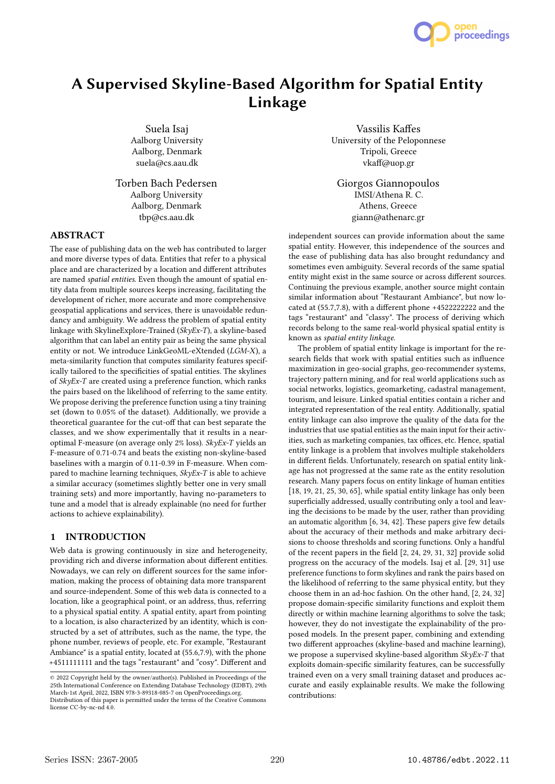

# A Supervised Skyline-Based Algorithm for Spatial Entity Linkage

Suela Isaj Aalborg University Aalborg, Denmark suela@cs.aau.dk

Torben Bach Pedersen Aalborg University Aalborg, Denmark tbp@cs.aau.dk

# ABSTRACT

The ease of publishing data on the web has contributed to larger and more diverse types of data. Entities that refer to a physical place and are characterized by a location and different attributes are named spatial entities. Even though the amount of spatial entity data from multiple sources keeps increasing, facilitating the development of richer, more accurate and more comprehensive geospatial applications and services, there is unavoidable redundancy and ambiguity. We address the problem of spatial entity linkage with SkylineExplore-Trained (SkyEx-T), a skyline-based algorithm that can label an entity pair as being the same physical entity or not. We introduce LinkGeoML-eXtended (LGM-X), a meta-similarity function that computes similarity features specifically tailored to the specificities of spatial entities. The skylines of  $SkyEx-T$  are created using a preference function, which ranks the pairs based on the likelihood of referring to the same entity. We propose deriving the preference function using a tiny training set (down to 0.05% of the dataset). Additionally, we provide a theoretical guarantee for the cut-off that can best separate the classes, and we show experimentally that it results in a nearoptimal F-measure (on average only 2% loss). SkyEx-T yields an F-measure of 0.71-0.74 and beats the existing non-skyline-based baselines with a margin of 0.11-0.39 in F-measure. When compared to machine learning techniques, SkyEx-T is able to achieve a similar accuracy (sometimes slightly better one in very small training sets) and more importantly, having no-parameters to tune and a model that is already explainable (no need for further actions to achieve explainability).

# 1 INTRODUCTION

Web data is growing continuously in size and heterogeneity, providing rich and diverse information about different entities. Nowadays, we can rely on different sources for the same information, making the process of obtaining data more transparent and source-independent. Some of this web data is connected to a location, like a geographical point, or an address, thus, referring to a physical spatial entity. A spatial entity, apart from pointing to a location, is also characterized by an identity, which is constructed by a set of attributes, such as the name, the type, the phone number, reviews of people, etc. For example, "Restaurant Ambiance" is a spatial entity, located at (55.6,7.9), with the phone +4511111111 and the tags "restaurant" and "cosy". Different and

Vassilis Kaffes University of the Peloponnese Tripoli, Greece vkaff@uop.gr

Giorgos Giannopoulos IMSI/Athena R. C. Athens, Greece giann@athenarc.gr

independent sources can provide information about the same spatial entity. However, this independence of the sources and the ease of publishing data has also brought redundancy and sometimes even ambiguity. Several records of the same spatial entity might exist in the same source or across different sources. Continuing the previous example, another source might contain similar information about "Restaurant Ambiance", but now located at (55.7,7.8), with a different phone +4522222222 and the tags "restaurant" and "classy". The process of deriving which records belong to the same real-world physical spatial entity is known as spatial entity linkage.

The problem of spatial entity linkage is important for the research fields that work with spatial entities such as influence maximization in geo-social graphs, geo-recommender systems, trajectory pattern mining, and for real world applications such as social networks, logistics, geomarketing, cadastral management, tourism, and leisure. Linked spatial entities contain a richer and integrated representation of the real entity. Additionally, spatial entity linkage can also improve the quality of the data for the industries that use spatial entities as the main input for their activities, such as marketing companies, tax offices, etc. Hence, spatial entity linkage is a problem that involves multiple stakeholders in different fields. Unfortunately, research on spatial entity linkage has not progressed at the same rate as the entity resolution research. Many papers focus on entity linkage of human entities [18, 19, 21, 25, 30, 65], while spatial entity linkage has only been superficially addressed, usually contributing only a tool and leaving the decisions to be made by the user, rather than providing an automatic algorithm [6, 34, 42]. These papers give few details about the accuracy of their methods and make arbitrary decisions to choose thresholds and scoring functions. Only a handful of the recent papers in the field [2, 24, 29, 31, 32] provide solid progress on the accuracy of the models. Isaj et al. [29, 31] use preference functions to form skylines and rank the pairs based on the likelihood of referring to the same physical entity, but they choose them in an ad-hoc fashion. On the other hand, [2, 24, 32] propose domain-specific similarity functions and exploit them directly or within machine learning algorithms to solve the task; however, they do not investigate the explainability of the proposed models. In the present paper, combining and extending two different approaches (skyline-based and machine learning), we propose a supervised skyline-based algorithm SkyEx-T that exploits domain-specific similarity features, can be successfully trained even on a very small training dataset and produces accurate and easily explainable results. We make the following contributions:

<sup>©</sup> 2022 Copyright held by the owner/author(s). Published in Proceedings of the 25th International Conference on Extending Database Technology (EDBT), 29th March-1st April, 2022, ISBN 978-3-89318-085-7 on OpenProceedings.org. Distribution of this paper is permitted under the terms of the Creative Commons license CC-by-nc-nd 4.0.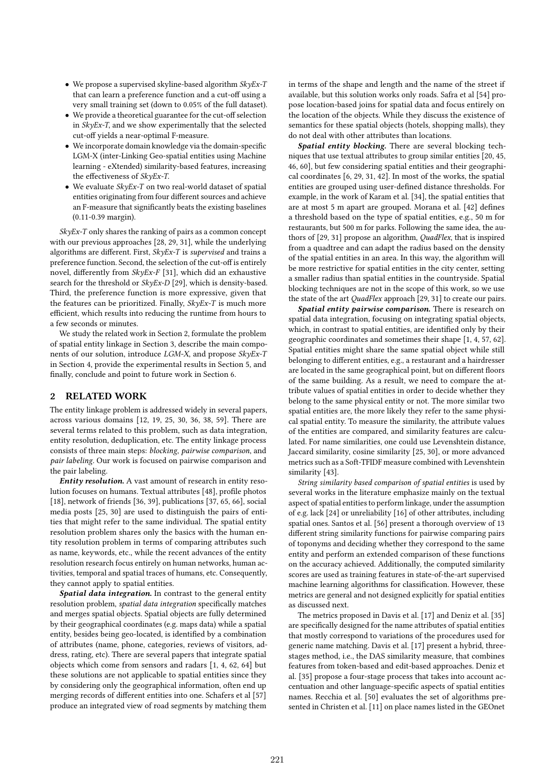- We propose a supervised skyline-based algorithm  $SkyEx-T$ that can learn a preference function and a cut-off using a very small training set (down to 0.05% of the full dataset).
- We provide a theoretical guarantee for the cut-off selection in SkyEx-T, and we show experimentally that the selected cut-off yields a near-optimal F-measure.
- We incorporate domain knowledge via the domain-specific LGM-X (inter-Linking Geo-spatial entities using Machine learning - eXtended) similarity-based features, increasing the effectiveness of SkyEx-T.
- We evaluate SkyEx-T on two real-world dataset of spatial entities originating from four different sources and achieve an F-measure that significantly beats the existing baselines (0.11-0.39 margin).

SkyEx-T only shares the ranking of pairs as a common concept with our previous approaches [28, 29, 31], while the underlying algorithms are different. First, SkyEx-T is supervised and trains a preference function. Second, the selection of the cut-off is entirely novel, differently from  $SkyEx-F$  [31], which did an exhaustive search for the threshold or SkyEx-D [29], which is density-based. Third, the preference function is more expressive, given that the features can be prioritized. Finally,  $Sk\nu Ex-T$  is much more efficient, which results into reducing the runtime from hours to a few seconds or minutes.

We study the related work in Section 2, formulate the problem of spatial entity linkage in Section 3, describe the main components of our solution, introduce LGM-X, and propose SkyEx-T in Section 4, provide the experimental results in Section 5, and finally, conclude and point to future work in Section 6.

#### 2 RELATED WORK

The entity linkage problem is addressed widely in several papers, across various domains [12, 19, 25, 30, 36, 38, 59]. There are several terms related to this problem, such as data integration, entity resolution, deduplication, etc. The entity linkage process consists of three main steps: blocking, pairwise comparison, and pair labeling. Our work is focused on pairwise comparison and the pair labeling.

Entity resolution. A vast amount of research in entity resolution focuses on humans. Textual attributes [48], profile photos [18], network of friends [36, 39], publications [37, 65, 66], social media posts [25, 30] are used to distinguish the pairs of entities that might refer to the same individual. The spatial entity resolution problem shares only the basics with the human entity resolution problem in terms of comparing attributes such as name, keywords, etc., while the recent advances of the entity resolution research focus entirely on human networks, human activities, temporal and spatial traces of humans, etc. Consequently, they cannot apply to spatial entities.

Spatial data integration. In contrast to the general entity resolution problem, spatial data integration specifically matches and merges spatial objects. Spatial objects are fully determined by their geographical coordinates (e.g. maps data) while a spatial entity, besides being geo-located, is identified by a combination of attributes (name, phone, categories, reviews of visitors, address, rating, etc). There are several papers that integrate spatial objects which come from sensors and radars [1, 4, 62, 64] but these solutions are not applicable to spatial entities since they by considering only the geographical information, often end up merging records of different entities into one. Schafers et al [57] produce an integrated view of road segments by matching them

in terms of the shape and length and the name of the street if available, but this solution works only roads. Safra et al [54] propose location-based joins for spatial data and focus entirely on the location of the objects. While they discuss the existence of semantics for these spatial objects (hotels, shopping malls), they do not deal with other attributes than locations.

Spatial entity blocking. There are several blocking techniques that use textual attributes to group similar entities [20, 45, 46, 60], but few considering spatial entities and their geographical coordinates [6, 29, 31, 42]. In most of the works, the spatial entities are grouped using user-defined distance thresholds. For example, in the work of Karam et al. [34], the spatial entities that are at most 5 m apart are grouped. Morana et al. [42] defines a threshold based on the type of spatial entities, e.g., 50 m for restaurants, but 500 m for parks. Following the same idea, the authors of [29, 31] propose an algorithm, QuadFlex, that is inspired from a quadtree and can adapt the radius based on the density of the spatial entities in an area. In this way, the algorithm will be more restrictive for spatial entities in the city center, setting a smaller radius than spatial entities in the countryside. Spatial blocking techniques are not in the scope of this work, so we use the state of the art *QuadFlex* approach [29, 31] to create our pairs.

Spatial entity pairwise comparison. There is research on spatial data integration, focusing on integrating spatial objects, which, in contrast to spatial entities, are identified only by their geographic coordinates and sometimes their shape [1, 4, 57, 62]. Spatial entities might share the same spatial object while still belonging to different entities, e.g., a restaurant and a hairdresser are located in the same geographical point, but on different floors of the same building. As a result, we need to compare the attribute values of spatial entities in order to decide whether they belong to the same physical entity or not. The more similar two spatial entities are, the more likely they refer to the same physical spatial entity. To measure the similarity, the attribute values of the entities are compared, and similarity features are calculated. For name similarities, one could use Levenshtein distance, Jaccard similarity, cosine similarity [25, 30], or more advanced metrics such as a Soft-TFIDF measure combined with Levenshtein similarity [43].

String similarity based comparison of spatial entities is used by several works in the literature emphasize mainly on the textual aspect of spatial entities to perform linkage, under the assumption of e.g. lack [24] or unreliability [16] of other attributes, including spatial ones. Santos et al. [56] present a thorough overview of 13 different string similarity functions for pairwise comparing pairs of toponyms and deciding whether they correspond to the same entity and perform an extended comparison of these functions on the accuracy achieved. Additionally, the computed similarity scores are used as training features in state-of-the-art supervised machine learning algorithms for classification. However, these metrics are general and not designed explicitly for spatial entities as discussed next.

The metrics proposed in Davis et al. [17] and Deniz et al. [35] are specifically designed for the name attributes of spatial entities that mostly correspond to variations of the procedures used for generic name matching. Davis et al. [17] present a hybrid, threestages method, i.e., the DAS similarity measure, that combines features from token-based and edit-based approaches. Deniz et al. [35] propose a four-stage process that takes into account accentuation and other language-specific aspects of spatial entities names. Recchia et al. [50] evaluates the set of algorithms presented in Christen et al. [11] on place names listed in the GEOnet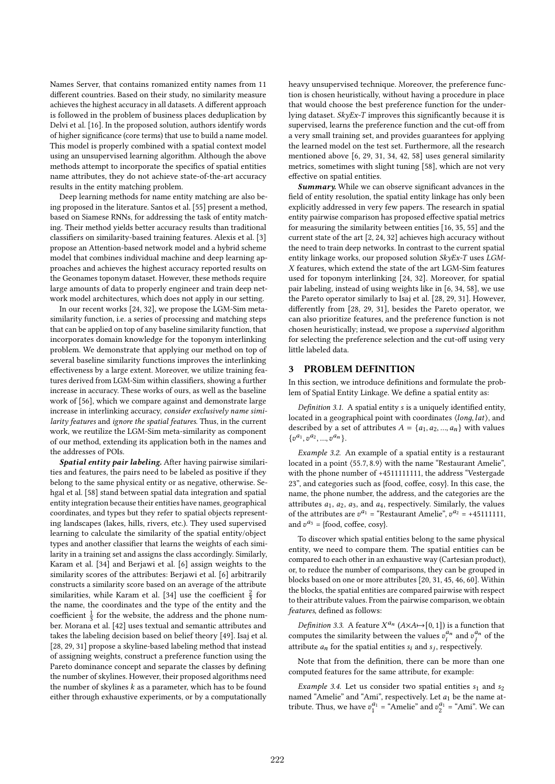Names Server, that contains romanized entity names from 11 different countries. Based on their study, no similarity measure achieves the highest accuracy in all datasets. A different approach is followed in the problem of business places deduplication by Delvi et al. [16]. In the proposed solution, authors identify words of higher significance (core terms) that use to build a name model. This model is properly combined with a spatial context model using an unsupervised learning algorithm. Although the above methods attempt to incorporate the specifics of spatial entities name attributes, they do not achieve state-of-the-art accuracy results in the entity matching problem.

Deep learning methods for name entity matching are also being proposed in the literature. Santos et al. [55] present a method, based on Siamese RNNs, for addressing the task of entity matching. Their method yields better accuracy results than traditional classifiers on similarity-based training features. Alexis et al. [3] propose an Attention-based network model and a hybrid scheme model that combines individual machine and deep learning approaches and achieves the highest accuracy reported results on the Geonames toponym dataset. However, these methods require large amounts of data to properly engineer and train deep network model architectures, which does not apply in our setting.

In our recent works [24, 32], we propose the LGM-Sim metasimilarity function, i.e. a series of processing and matching steps that can be applied on top of any baseline similarity function, that incorporates domain knowledge for the toponym interlinking problem. We demonstrate that applying our method on top of several baseline similarity functions improves the interlinking effectiveness by a large extent. Moreover, we utilize training features derived from LGM-Sim within classifiers, showing a further increase in accuracy. These works of ours, as well as the baseline work of [56], which we compare against and demonstrate large increase in interlinking accuracy, consider exclusively name similarity features and ignore the spatial features. Thus, in the current work, we reutilize the LGM-Sim meta-similarity as component of our method, extending its application both in the names and the addresses of POIs.

Spatial entity pair labeling. After having pairwise similarities and features, the pairs need to be labeled as positive if they belong to the same physical entity or as negative, otherwise. Sehgal et al. [58] stand between spatial data integration and spatial entity integration because their entities have names, geographical coordinates, and types but they refer to spatial objects representing landscapes (lakes, hills, rivers, etc.). They used supervised learning to calculate the similarity of the spatial entity/object types and another classifier that learns the weights of each similarity in a training set and assigns the class accordingly. Similarly, Karam et al. [34] and Berjawi et al. [6] assign weights to the similarity scores of the attributes: Berjawi et al. [6] arbitrarily constructs a similarity score based on an average of the attribute similarities, while Karam et al. [34] use the coefficient  $\frac{2}{3}$  for the name, the coordinates and the type of the entity and the coefficient  $\frac{1}{3}$  for the website, the address and the phone number. Morana et al. [42] uses textual and semantic attributes and takes the labeling decision based on belief theory [49]. Isaj et al. [28, 29, 31] propose a skyline-based labeling method that instead of assigning weights, construct a preference function using the Pareto dominance concept and separate the classes by defining the number of skylines. However, their proposed algorithms need the number of skylines  $k$  as a parameter, which has to be found either through exhaustive experiments, or by a computationally

heavy unsupervised technique. Moreover, the preference function is chosen heuristically, without having a procedure in place that would choose the best preference function for the underlying dataset.  $Sk\nu Ex-T$  improves this significantly because it is supervised, learns the preference function and the cut-off from a very small training set, and provides guarantees for applying the learned model on the test set. Furthermore, all the research mentioned above [6, 29, 31, 34, 42, 58] uses general similarity metrics, sometimes with slight tuning [58], which are not very effective on spatial entities.

Summary. While we can observe significant advances in the field of entity resolution, the spatial entity linkage has only been explicitly addressed in very few papers. The research in spatial entity pairwise comparison has proposed effective spatial metrics for measuring the similarity between entities [16, 35, 55] and the current state of the art [2, 24, 32] achieves high accuracy without the need to train deep networks. In contrast to the current spatial entity linkage works, our proposed solution SkyEx-T uses LGM-X features, which extend the state of the art LGM-Sim features used for toponym interlinking [24, 32]. Moreover, for spatial pair labeling, instead of using weights like in [6, 34, 58], we use the Pareto operator similarly to Isaj et al. [28, 29, 31]. However, differently from [28, 29, 31], besides the Pareto operator, we can also prioritize features, and the preference function is not chosen heuristically; instead, we propose a supervised algorithm for selecting the preference selection and the cut-off using very little labeled data.

## 3 PROBLEM DEFINITION

In this section, we introduce definitions and formulate the problem of Spatial Entity Linkage. We define a spatial entity as:

Definition 3.1. A spatial entity  $s$  is a uniquely identified entity, located in a geographical point with coordinates  $\langle \textit{long}, \textit{lat} \rangle$ , and described by a set of attributes  $A = \{a_1, a_2, ..., a_n\}$  with values  ${v^{a_1}, v^{a_2}, ..., v^{a_n}}.$ 

Example 3.2. An example of a spatial entity is a restaurant located in a point ⟨55.7, 8.9⟩ with the name "Restaurant Amelie", with the phone number of +4511111111, the address "Vestergade 23", and categories such as {food, coffee, cosy}. In this case, the name, the phone number, the address, and the categories are the attributes  $a_1$ ,  $a_2$ ,  $a_3$ , and  $a_4$ , respectively. Similarly, the values of the attributes are  $v^{a_1}$  = "Restaurant Amelie",  $v^{a_2}$  = +45111111, and  $v^{a_3}$  = {food, coffee, cosy}.

To discover which spatial entities belong to the same physical entity, we need to compare them. The spatial entities can be compared to each other in an exhaustive way (Cartesian product), or, to reduce the number of comparisons, they can be grouped in blocks based on one or more attributes [20, 31, 45, 46, 60]. Within the blocks, the spatial entities are compared pairwise with respect to their attribute values. From the pairwise comparison, we obtain features, defined as follows:

Definition 3.3. A feature  $X^{a_n}$  ( $A \times A \mapsto [0, 1]$ ) is a function that computes the similarity between the values  $v_i^{a_n}$  and  $v_j^{a_n}$  of the attribute  $a_n$  for the spatial entities  $s_i$  and  $s_j$ , respectively.

Note that from the definition, there can be more than one computed features for the same attribute, for example:

Example 3.4. Let us consider two spatial entities  $s_1$  and  $s_2$ named "Amelie" and "Ami", respectively. Let  $a_1$  be the name attribute. Thus, we have  $v_1^{a_1} =$ "Amelie" and  $v_2^{a_1} =$ "Ami". We can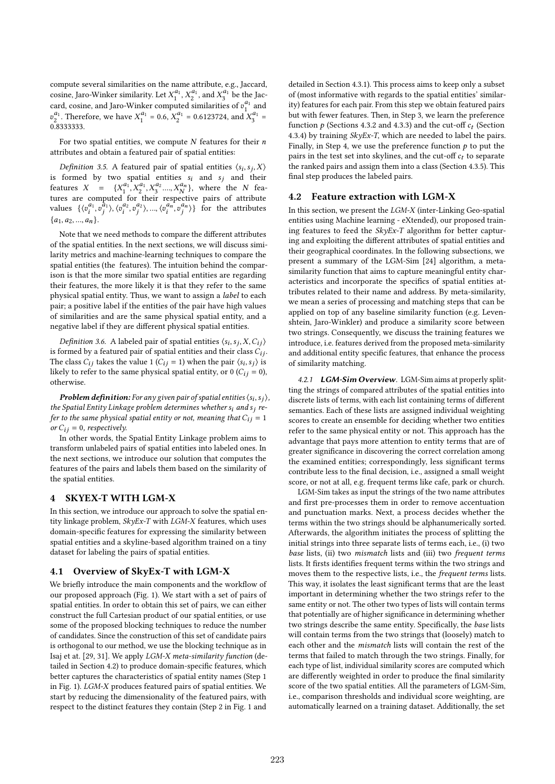compute several similarities on the name attribute, e.g., Jaccard, cosine, Jaro-Winker similarity. Let  $X_1^{a_1}, X_2^{a_1}$ , and  $X_3^{a_1}$  be the Jaccard, cosine, and Jaro-Winker computed similarities of  $v_1^{a_1}$  and  $v_2^{a_1}$ . Therefore, we have  $X_1^{a_1} = 0.6$ ,  $X_2^{a_1} = 0.6123724$ , and  $X_3^{a_1} =$ 0.8333333.

For two spatial entities, we compute  $N$  features for their  $n$ attributes and obtain a featured pair of spatial entities:

Definition 3.5. A featured pair of spatial entities  $\langle s_i, s_j, X \rangle$ is formed by two spatial entities  $s_i$  and  $s_j$  and their features  $X = \{X_1^{a_1}, X_2^{a_1}, X_3^{a_2}, ..., X_N^{a_N}\},$  where the N features are computed for their respective pairs of attribute values  $\{\langle v_i^{a_1}, v_i^{a_1}\rangle, \langle v_i^{a_2}, v_i^{a_2}\rangle, ..., \langle v_i^{a_n}, v_i^{a_n}\rangle\}$  for the attributes  ${a_1, a_2, ..., a_n}.$ 

Note that we need methods to compare the different attributes of the spatial entities. In the next sections, we will discuss similarity metrics and machine-learning techniques to compare the spatial entities (the features). The intuition behind the comparison is that the more similar two spatial entities are regarding their features, the more likely it is that they refer to the same physical spatial entity. Thus, we want to assign a label to each pair; a positive label if the entities of the pair have high values of similarities and are the same physical spatial entity, and a negative label if they are different physical spatial entities.

Definition 3.6. A labeled pair of spatial entities  $\langle s_i, s_j, X, C_{ij} \rangle$ is formed by a featured pair of spatial entities and their class  $C_{ij}$ . The class  $C_{ij}$  takes the value 1 ( $C_{ij}$  = 1) when the pair  $\langle s_i, s_j \rangle$  is likely to refer to the same physical spatial entity, or 0 ( $C_{ij} = 0$ ), otherwise.

**Problem definition:** For any given pair of spatial entities  $\langle s_i, s_j \rangle$ , the Spatial Entity Linkage problem determines whether  $s_i$  and  $s_i$  refer to the same physical spatial entity or not, meaning that  $C_{ij} = 1$ or  $C_{ij} = 0$ , respectively.

In other words, the Spatial Entity Linkage problem aims to transform unlabeled pairs of spatial entities into labeled ones. In the next sections, we introduce our solution that computes the features of the pairs and labels them based on the similarity of the spatial entities.

#### 4 SKYEX-T WITH LGM-X

In this section, we introduce our approach to solve the spatial entity linkage problem,  $SkyEx-T$  with  $LGM-X$  features, which uses domain-specific features for expressing the similarity between spatial entities and a skyline-based algorithm trained on a tiny dataset for labeling the pairs of spatial entities.

#### 4.1 Overview of SkyEx-T with LGM-X

We briefly introduce the main components and the workflow of our proposed approach (Fig. 1). We start with a set of pairs of spatial entities. In order to obtain this set of pairs, we can either construct the full Cartesian product of our spatial entities, or use some of the proposed blocking techniques to reduce the number of candidates. Since the construction of this set of candidate pairs is orthogonal to our method, we use the blocking technique as in Isaj et at. [29, 31]. We apply LGM-X meta-similarity function (detailed in Section 4.2) to produce domain-specific features, which better captures the characteristics of spatial entity names (Step 1 in Fig. 1). LGM-X produces featured pairs of spatial entities. We start by reducing the dimensionality of the featured pairs, with respect to the distinct features they contain (Step 2 in Fig. 1 and

detailed in Section 4.3.1). This process aims to keep only a subset of (most informative with regards to the spatial entities' similarity) features for each pair. From this step we obtain featured pairs but with fewer features. Then, in Step 3, we learn the preference function  $p$  (Sections 4.3.2 and 4.3.3) and the cut-off  $c_t$  (Section 4.3.4) by training  $SkyEx-T$ , which are needed to label the pairs. Finally, in Step 4, we use the preference function  $p$  to put the pairs in the test set into skylines, and the cut-off  $c_t$  to separate the ranked pairs and assign them into a class (Section 4.3.5). This final step produces the labeled pairs.

## 4.2 Feature extraction with LGM-X

In this section, we present the LGM-X (inter-Linking Geo-spatial entities using Machine learning - eXtended), our proposed training features to feed the SkyEx-T algorithm for better capturing and exploiting the different attributes of spatial entities and their geographical coordinates. In the following subsections, we present a summary of the LGM-Sim [24] algorithm, a metasimilarity function that aims to capture meaningful entity characteristics and incorporate the specifics of spatial entities attributes related to their name and address. By meta-similarity, we mean a series of processing and matching steps that can be applied on top of any baseline similarity function (e.g. Levenshtein, Jaro-Winkler) and produce a similarity score between two strings. Consequently, we discuss the training features we introduce, i.e. features derived from the proposed meta-similarity and additional entity specific features, that enhance the process of similarity matching.

4.2.1 LGM-Sim Overview. LGM-Sim aims at properly splitting the strings of compared attributes of the spatial entities into discrete lists of terms, with each list containing terms of different semantics. Each of these lists are assigned individual weighting scores to create an ensemble for deciding whether two entities refer to the same physical entity or not. This approach has the advantage that pays more attention to entity terms that are of greater significance in discovering the correct correlation among the examined entities; correspondingly, less significant terms contribute less to the final decision, i.e., assigned a small weight score, or not at all, e.g. frequent terms like cafe, park or church.

LGM-Sim takes as input the strings of the two name attributes and first pre-processes them in order to remove accentuation and punctuation marks. Next, a process decides whether the terms within the two strings should be alphanumerically sorted. Afterwards, the algorithm initiates the process of splitting the initial strings into three separate lists of terms each, i.e., (i) two base lists, (ii) two mismatch lists and (iii) two frequent terms lists. It firsts identifies frequent terms within the two strings and moves them to the respective lists, i.e., the frequent terms lists. This way, it isolates the least significant terms that are the least important in determining whether the two strings refer to the same entity or not. The other two types of lists will contain terms that potentially are of higher significance in determining whether two strings describe the same entity. Specifically, the base lists will contain terms from the two strings that (loosely) match to each other and the mismatch lists will contain the rest of the terms that failed to match through the two strings. Finally, for each type of list, individual similarity scores are computed which are differently weighted in order to produce the final similarity score of the two spatial entities. All the parameters of LGM-Sim, i.e., comparison thresholds and individual score weighting, are automatically learned on a training dataset. Additionally, the set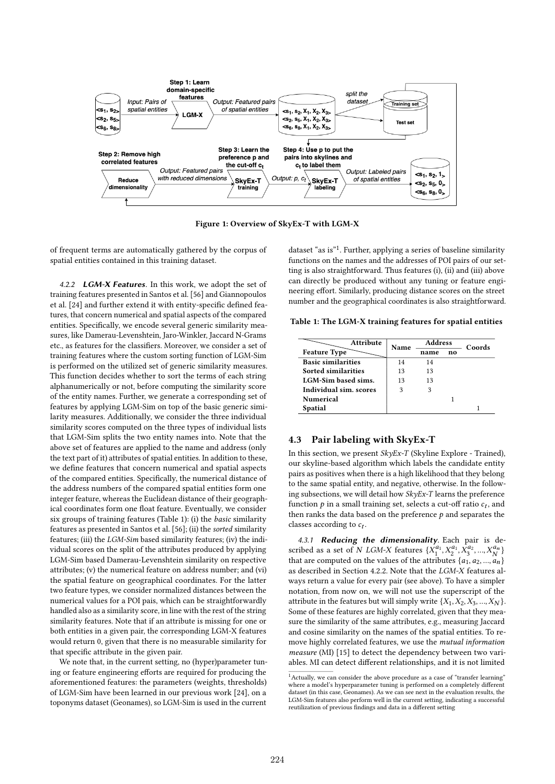

Figure 1: Overview of SkyEx-T with LGM-X

of frequent terms are automatically gathered by the corpus of spatial entities contained in this training dataset.

4.2.2 LGM-X Features. In this work, we adopt the set of training features presented in Santos et al. [56] and Giannopoulos et al. [24] and further extend it with entity-specific defined features, that concern numerical and spatial aspects of the compared entities. Specifically, we encode several generic similarity measures, like Damerau-Levenshtein, Jaro-Winkler, Jaccard N-Grams etc., as features for the classifiers. Moreover, we consider a set of training features where the custom sorting function of LGM-Sim is performed on the utilized set of generic similarity measures. This function decides whether to sort the terms of each string alphanumerically or not, before computing the similarity score of the entity names. Further, we generate a corresponding set of features by applying LGM-Sim on top of the basic generic similarity measures. Additionally, we consider the three individual similarity scores computed on the three types of individual lists that LGM-Sim splits the two entity names into. Note that the above set of features are applied to the name and address (only the text part of it) attributes of spatial entities. In addition to these, we define features that concern numerical and spatial aspects of the compared entities. Specifically, the numerical distance of the address numbers of the compared spatial entities form one integer feature, whereas the Euclidean distance of their geographical coordinates form one float feature. Eventually, we consider six groups of training features (Table 1): (i) the basic similarity features as presented in Santos et al. [56]; (ii) the sorted similarity features; (iii) the LGM-Sim based similarity features; (iv) the individual scores on the split of the attributes produced by applying LGM-Sim based Damerau-Levenshtein similarity on respective attributes; (v) the numerical feature on address number; and (vi) the spatial feature on geographical coordinates. For the latter two feature types, we consider normalized distances between the numerical values for a POI pais, which can be straightforwardly handled also as a similarity score, in line with the rest of the string similarity features. Note that if an attribute is missing for one or both entities in a given pair, the corresponding LGM-X features would return 0, given that there is no measurable similarity for that specific attribute in the given pair.

We note that, in the current setting, no (hyper)parameter tuning or feature engineering efforts are required for producing the aforementioned features: the parameters (weights, thresholds) of LGM-Sim have been learned in our previous work [24], on a toponyms dataset (Geonames), so LGM-Sim is used in the current

dataset "as is"<sup>1</sup>. Further, applying a series of baseline similarity functions on the names and the addresses of POI pairs of our setting is also straightforward. Thus features (i), (ii) and (iii) above can directly be produced without any tuning or feature engineering effort. Similarly, producing distance scores on the street number and the geographical coordinates is also straightforward.

Table 1: The LGM-X training features for spatial entities

| <b>Attribute</b>          | Name | <b>Address</b> |    | Coords |
|---------------------------|------|----------------|----|--------|
| <b>Feature Type</b>       |      | name           | no |        |
| <b>Basic similarities</b> | 14   | 14             |    |        |
| Sorted similarities       | 13   | 13             |    |        |
| LGM-Sim based sims.       | 13   | 13             |    |        |
| Individual sim. scores    | 3    | 3              |    |        |
| <b>Numerical</b>          |      |                |    |        |
| <b>Spatial</b>            |      |                |    |        |

#### 4.3 Pair labeling with SkyEx-T

In this section, we present SkyEx-T (Skyline Explore - Trained), our skyline-based algorithm which labels the candidate entity pairs as positives when there is a high likelihood that they belong to the same spatial entity, and negative, otherwise. In the following subsections, we will detail how SkyEx-T learns the preference function  $p$  in a small training set, selects a cut-off ratio  $c_t$ , and then ranks the data based on the preference  $p$  and separates the classes according to  $c_t$ .

4.3.1 Reducing the dimensionality. Each pair is described as a set of N LGM-X features  $\{X_1^{a_1}, X_2^{a_2}, X_3^{a_3}, ..., X_N^{a_N}\}$ that are computed on the values of the attributes  $\{a_1, a_2, ..., a_n\}$ as described in Section 4.2.2. Note that the LGM-X features always return a value for every pair (see above). To have a simpler notation, from now on, we will not use the superscript of the attribute in the features but will simply write  $\{X_1, X_2, X_3, ..., X_N\}$ . Some of these features are highly correlated, given that they measure the similarity of the same attributes, e.g., measuring Jaccard and cosine similarity on the names of the spatial entities. To remove highly correlated features, we use the mutual information measure (MI) [15] to detect the dependency between two variables. MI can detect different relationships, and it is not limited

 $<sup>1</sup>$  Actually, we can consider the above procedure as a case of "transfer learning"</sup> where a model's hyperparameter tuning is performed on a completely different dataset (in this case, Geonames). As we can see next in the evaluation results, the LGM-Sim features also perform well in the current setting, indicating a successful reutilization of previous findings and data in a different setting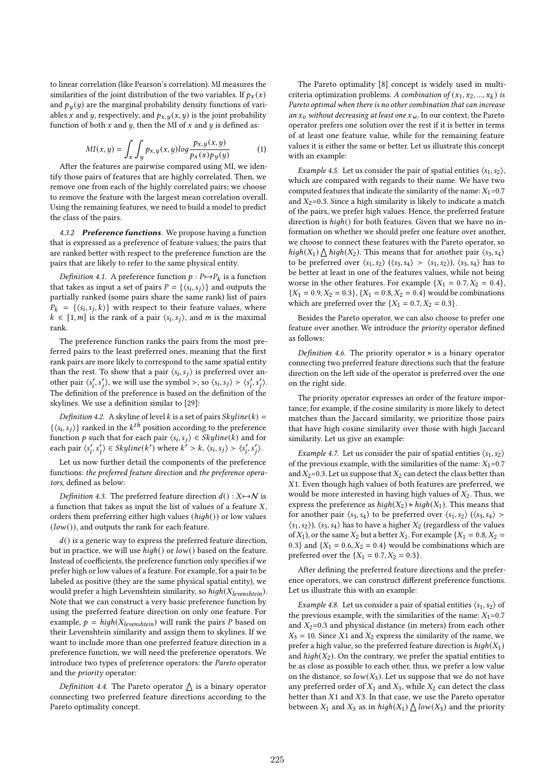to linear correlation (like Pearson's correlation). MI measures the similarities of the joint distribution of the two variables. If  $p_x(x)$ and  $p_y(y)$  are the marginal probability density functions of variables *x* and *y*, respectively, and  $p_{x, y}(x, y)$  is the joint probability function of both  $x$  and  $y$ , then the MI of  $x$  and  $y$  is defined as:

$$
MI(x,y) = \int_{x} \int_{y} p_{x,y}(x,y) \log \frac{p_{x,y}(x,y)}{p_{x}(x)p_{y}(y)}
$$
(1)

After the features are pairwise compared using MI, we identify those pairs of features that are highly correlated. Then, we remove one from each of the highly correlated pairs; we choose to remove the feature with the largest mean correlation overall. Using the remaining features, we need to build a model to predict the class of the pairs.

4.3.2 Preference functions. We propose having a function that is expressed as a preference of feature values; the pairs that are ranked better with respect to the preference function are the pairs that are likely to refer to the same physical entity.

Definition 4.1. A preference function  $p : P \rightarrow P_k$  is a function that takes as input a set of pairs  $P = \{ \langle s_i, s_j \rangle \}$  and outputs the partially ranked (some pairs share the same rank) list of pairs  $P_k = \{\langle s_i, s_j, k \rangle\}$  with respect to their feature values, where  $k \in [1,m]$  is the rank of a pair  $\langle s_i, s_j \rangle$ , and m is the maximal rank.

The preference function ranks the pairs from the most preferred pairs to the least preferred ones, meaning that the first rank pairs are more likely to correspond to the same spatial entity than the rest. To show that a pair  $\langle s_i, s_j \rangle$  is preferred over another pair  $\langle s'_i, s'_j \rangle$ , we will use the symbol >, so  $\langle s_i, s_j \rangle > \langle s'_i, s'_j \rangle$ . The definition of the preference is based on the definition of the skylines. We use a definition similar to [29]:

Definition 4.2. A skyline of level k is a set of pairs  $Skpline(k) =$  $\{\langle s_i, s_j \rangle\}$  ranked in the  $k^{th}$  position according to the preference function p such that for each pair  $\langle s_i, s_j \rangle \in Skylinder(k)$  and for each pair  $\langle s'_i, s'_j \rangle \in Skylline(k')$  where  $k' > k$ ,  $\langle s_i, s_j \rangle > \langle s'_i, s'_j \rangle$ .

Let us now further detail the components of the preference functions: the preferred feature direction and the preference operators, defined as below:

Definition 4.3. The preferred feature direction  $d() : X \rightarrow N$  is a function that takes as input the list of values of a feature  $X$ , orders them preferring either high values  $(high())$  or low values  $(low())$ , and outputs the rank for each feature.

 $d()$  is a generic way to express the preferred feature direction, but in practice, we will use  $high()$  or  $low()$  based on the feature. Instead of coefficients, the preference function only specifies if we prefer high or low values of a feature. For example, for a pair to be labeled as positive (they are the same physical spatial entity), we would prefer a high Levenshtein similarity, so  $high(X_{levenshtein})$ . Note that we can construct a very basic preference function by using the preferred feature direction on only one feature. For example,  $p = high(X_{levenshtein})$  will rank the pairs P based on their Levenshtein similarity and assign them to skylines. If we want to include more than one preferred feature direction in a preference function, we will need the preference operators. We introduce two types of preference operators: the Pareto operator and the priority operator:

Definition 4.4. The Pareto operator  $\triangle$  is a binary operator connecting two preferred feature directions according to the Pareto optimality concept.

The Pareto optimality [8] concept is widely used in multicriteria optimization problems. A combination of  $(x_1, x_2, ..., x_k)$  is Pareto optimal when there is no other combination that can increase an  $x_v$  without decreasing at least one  $x_w$ . In our context, the Pareto operator prefers one solution over the rest if it is better in terms of at least one feature value, while for the remaining feature values it is either the same or better. Let us illustrate this concept with an example:

Example 4.5. Let us consider the pair of spatial entities  $\langle s_1, s_2 \rangle$ , which are compared with regards to their name. We have two computed features that indicate the similarity of the name:  $X_1=0.7$ and  $X_2$ =0.3. Since a high similarity is likely to indicate a match of the pairs, we prefer high values. Hence, the preferred feature direction is  $high()$  for both features. Given that we have no information on whether we should prefer one feature over another, we choose to connect these features with the Pareto operator, so high(X<sub>1</sub>)  $\bigwedge$  high(X<sub>2</sub>). This means that for another pair  $\langle s_3, s_4 \rangle$ to be preferred over  $\langle s_1, s_2 \rangle$   $(\langle s_3, s_4 \rangle \rangle \langle s_1, s_2 \rangle)$ ,  $\langle s_3, s_4 \rangle$  has to be better at least in one of the features values, while not being worse in the other features. For example  $\{X_1 = 0.7, X_2 = 0.4\}$ ,  ${X_1 = 0.9, X_2 = 0.3}, {X_1 = 0.8, X_2 = 0.4}$  would be combinations which are preferred over the  $\{X_1 = 0.7, X_2 = 0.3\}$ .

Besides the Pareto operator, we can also choose to prefer one feature over another. We introduce the priority operator defined as follows:

Definition 4.6. The priority operator ⊳ is a binary operator connecting two preferred feature directions such that the feature direction on the left side of the operator is preferred over the one on the right side.

The priority operator expresses an order of the feature importance; for example, if the cosine similarity is more likely to detect matches than the Jaccard similarity, we prioritize those pairs that have high cosine similarity over those with high Jaccard similarity. Let us give an example:

*Example 4.7.* Let us consider the pair of spatial entities  $\langle s_1, s_2 \rangle$ of the previous example, with the similarities of the name:  $X_1$ =0.7 and  $X_2$ =0.3. Let us suppose that  $X_2$  can detect the class better than  $X1$ . Even though high values of both features are preferred, we would be more interested in having high values of  $X_2$ . Thus, we express the preference as  $high(X_2) \triangleright high(X_1)$ . This means that for another pair  $\langle s_3, s_4 \rangle$  to be preferred over  $\langle s_1, s_2 \rangle$   $(\langle s_3, s_4 \rangle >$  $\langle s_1, s_2 \rangle$ ,  $\langle s_3, s_4 \rangle$  has to have a higher  $X_2$  (regardless of the values of  $X_1$ ), or the same  $X_2$  but a better  $X_1$ . For example  $\{X_1 = 0.8, X_2 =$ 0.3} and  $\{X_1 = 0.6, X_2 = 0.4\}$  would be combinations which are preferred over the  $\{X_1 = 0.7, X_2 = 0.3\}$ .

After defining the preferred feature directions and the preference operators, we can construct different preference functions. Let us illustrate this with an example:

Example 4.8. Let us consider a pair of spatial entities  $\langle s_1, s_2 \rangle$  of the previous example, with the similarities of the name:  $X_1=0.7$ and  $X_2$ =0.3 and physical distance (in meters) from each other  $X_3 = 10$ . Since X1 and  $X_2$  express the similarity of the name, we prefer a high value, so the preferred feature direction is  $high(X_1)$ and  $high(X_2)$ . On the contrary, we prefer the spatial entities to be as close as possible to each other, thus, we prefer a low value on the distance, so  $low(X_3)$ . Let us suppose that we do not have any preferred order of  $X_1$  and  $X_3$ , while  $X_2$  can detect the class better than  $X1$  and  $X3$ . In that case, we use the Pareto operator between  $X_1$  and  $X_3$  as in  $high(X_1) \bigwedge low(X_3)$  and the priority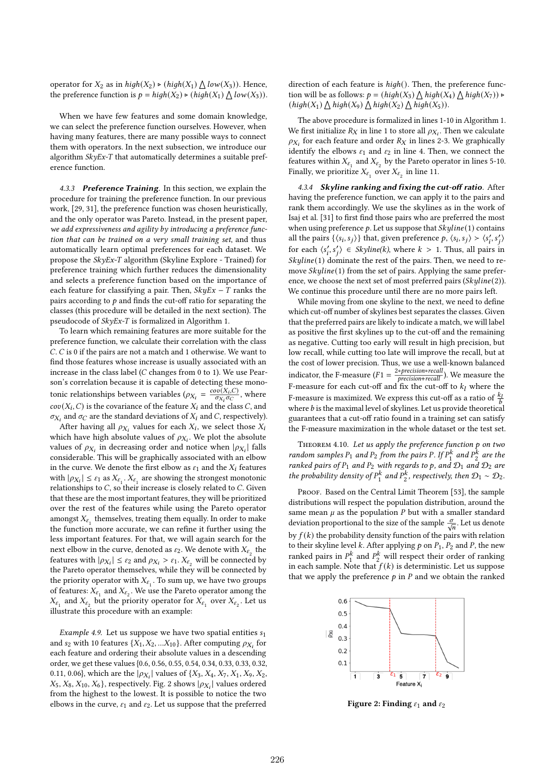operator for  $X_2$  as in  $high(X_2) \triangleright (high(X_1) \bigwedge low(X_3))$ . Hence, the preference function is  $p = high(X_2) \triangleright (high(X_1) \bigwedge low(X_3)).$ 

When we have few features and some domain knowledge, we can select the preference function ourselves. However, when having many features, there are many possible ways to connect them with operators. In the next subsection, we introduce our algorithm  $SkyEx-T$  that automatically determines a suitable preference function.

4.3.3 Preference Training. In this section, we explain the procedure for training the preference function. In our previous work, [29, 31], the preference function was chosen heuristically, and the only operator was Pareto. Instead, in the present paper, we add expressiveness and agility by introducing a preference function that can be trained on a very small training set, and thus automatically learn optimal preferences for each dataset. We propose the SkyEx-T algorithm (Skyline Explore - Trained) for preference training which further reduces the dimensionality and selects a preference function based on the importance of each feature for classifying a pair. Then,  $SkyEx - T$  ranks the pairs according to  $p$  and finds the cut-off ratio for separating the classes (this procedure will be detailed in the next section). The pseudocode of SkyEx-T is formalized in Algorithm 1.

To learn which remaining features are more suitable for the preference function, we calculate their correlation with the class  $C. C$  is 0 if the pairs are not a match and 1 otherwise. We want to find those features whose increase is usually associated with an increase in the class label ( $C$  changes from 0 to 1). We use Pearson's correlation because it is capable of detecting these monotonic relationships between variables ( $\rho_{X_i} = \frac{cov(X_i, C)}{\sigma_{X_i} \sigma_C}$ , where  $cov(X_i, C)$  is the covariance of the feature  $X_i$  and the class C, and  $\sigma_{X_i}$  and  $\sigma_C$  are the standard deviations of  $X_i$  and C, respectively).

After having all  $\rho_{X_i}$  values for each  $X_i$ , we select those  $X_i$ which have high absolute values of  $\rho_{X_i}$ . We plot the absolute values of  $\rho_{X_i}$  in decreasing order and notice when  $|\rho_{X_i}|$  falls considerable. This will be graphically associated with an elbow in the curve. We denote the first elbow as  $\varepsilon_1$  and the  $X_i$  features with  $|\rho_{X_i}| \leq \varepsilon_1$  as  $X_{\varepsilon_1}$ .  $X_{\varepsilon_1}$  are showing the strongest monotonic relationships to  $C$ , so their increase is closely related to  $C$ . Given that these are the most important features, they will be prioritized over the rest of the features while using the Pareto operator amongst  $X_{\varepsilon_1}$  themselves, treating them equally. In order to make the function more accurate, we can refine it further using the less important features. For that, we will again search for the next elbow in the curve, denoted as  $\varepsilon_2.$  We denote with  $X_{\varepsilon_2}$  the features with  $|\rho_{X_i}| \leq \varepsilon_2$  and  $\rho_{X_i} > \varepsilon_1$ .  $X_{\varepsilon_2}$  will be connected by the Pareto operator themselves, while they will be connected by the priority operator with  $X_{\varepsilon_1}$ . To sum up, we have two groups of features:  $X_{\varepsilon_1}$  and  $X_{\varepsilon_2}$ . We use the Pareto operator among the  $X_{\varepsilon_1}$  and  $X_{\varepsilon_2}$  but the priority operator for  $X_{\varepsilon_1}$  over  $X_{\varepsilon_2}$ . Let us illustrate this procedure with an example:

*Example 4.9.* Let us suppose we have two spatial entities  $s_1$ and s<sub>2</sub> with 10 features { $X_1, X_2, ... X_{10}$ }. After computing  $\rho_{X_i}$  for each feature and ordering their absolute values in a descending order, we get these values {0.6, 0.56, 0.55, 0.54, 0.34, 0.33, 0.33, 0.32, 0.11, 0.06}, which are the  $|\rho_{X_i}|$  values of  $\{X_3, X_4, X_7, X_1, X_9, X_2, X_1\}$  $X_5, X_8, X_{10}, X_6$ , respectively. Fig. 2 shows  $|\rho_{X_i}|$  values ordered from the highest to the lowest. It is possible to notice the two elbows in the curve,  $\varepsilon_1$  and  $\varepsilon_2$ . Let us suppose that the preferred

direction of each feature is  $high()$ . Then, the preference function will be as follows:  $p = (high(X_3) \bigwedge high(X_4) \bigwedge high(X_7)) \triangleright$  $(high(X_1) \wedge high(X_9) \wedge high(X_2) \wedge high(X_5)).$ 

The above procedure is formalized in lines 1-10 in Algorithm 1. We first initialize  $R_X$  in line 1 to store all  $\rho_{X_i}$ . Then we calculate  $\rho_{X_i}$  for each feature and order  $R_X$  in lines 2-3. We graphically identify the elbows  $\varepsilon_1$  and  $\varepsilon_2$  in line 4. Then, we connect the features within  $X_{\varepsilon_1}$  and  $X_{\varepsilon_2}$  by the Pareto operator in lines 5-10. Finally, we prioritize  $X_{\varepsilon_1}$  over  $X_{\varepsilon_2}$  in line 11.

4.3.4 Skyline ranking and fixing the cut-off ratio. After having the preference function, we can apply it to the pairs and rank them accordingly. We use the skylines as in the work of Isaj et al. [31] to first find those pairs who are preferred the most when using preference  $p$ . Let us suppose that  $Skyline(1)$  contains all the pairs { $\langle s_i, s_j \rangle$ } that, given preference  $p$ ,  $\langle s_i, s_j \rangle > \langle s'_i, s'_j \rangle$ for each  $\langle s'_i, s'_j \rangle \in Skpline(k)$ , where  $k > 1$ . Thus, all pairs in  $Skpline(1)$  dominate the rest of the pairs. Then, we need to remove  $Skyline(1)$  from the set of pairs. Applying the same preference, we choose the next set of most preferred pairs  $(Skylinder(2))$ . We continue this procedure until there are no more pairs left.

While moving from one skyline to the next, we need to define which cut-off number of skylines best separates the classes. Given that the preferred pairs are likely to indicate a match, we will label as positive the first skylines up to the cut-off and the remaining as negative. Cutting too early will result in high precision, but low recall, while cutting too late will improve the recall, but at the cost of lower precision. Thus, we use a well-known balanced indicator, the F-measure  $(F1 = \frac{2*precision*recall}{precision*recall})$ . We measure the F-measure for each cut-off and fix the cut-off to  $k_l$  where the F-measure is maximized. We express this cut-off as a ratio of  $\frac{k}{b}$ where  $b$  is the maximal level of skylines. Let us provide theoretical guarantees that a cut-off ratio found in a training set can satisfy the F-measure maximization in the whole dataset or the test set.

THEOREM 4.10. Let us apply the preference function  $p$  on two random samples  $P_1$  and  $P_2$  from the pairs P. If  $P_1^k$  and  $P_2^k$  are the ranked pairs of  $P_1$  and  $P_2$  with regards to p, and  $\mathcal{D}_1$  and  $\mathcal{D}_2$  are the probability density of  $P_1^k$  and  $P_2^k$ , respectively, then  $\mathcal{D}_1 \sim \mathcal{D}_2$ .

PROOF. Based on the Central Limit Theorem [53], the sample distributions will respect the population distribution, around the same mean  $\mu$  as the population  $P$  but with a smaller standard deviation proportional to the size of the sample  $\frac{\sigma}{\sqrt{n}}$ . Let us denote by  $f(k)$  the probability density function of the pairs with relation to their skyline level k. After applying  $p$  on  $P_1$ ,  $P_2$  and  $P$ , the new ranked pairs in  $P_1^k$  and  $P_2^k$  will respect their order of ranking in each sample. Note that  $f(k)$  is deterministic. Let us suppose that we apply the preference  $p$  in  $P$  and we obtain the ranked



Figure 2: Finding  $\varepsilon_1$  and  $\varepsilon_2$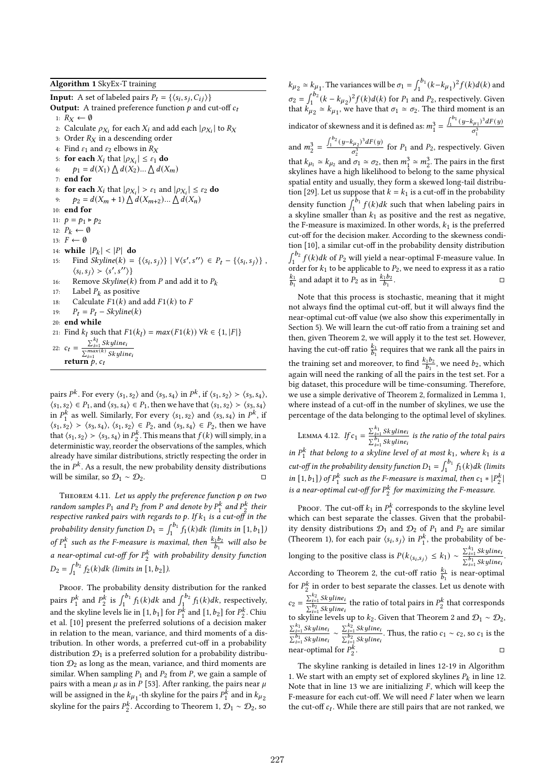**Input:** A set of labeled pairs  $P_t = \{ \langle s_i, s_j, C_{ij} \rangle \}$ **Output:** A trained preference function  $p$  and cut-off  $c_t$ 1:  $R_X \leftarrow \emptyset$ 2: Calculate  $\rho_{X_i}$  for each  $X_i$  and add each  $|\rho_{X_i}|$  to  $R_X$ 3: Order  $R_X$  in a descending order 4: Find  $\varepsilon_1$  and  $\varepsilon_2$  elbows in  $R_X$ 5: for each  $X_i$  that  $|\rho_{X_i}| \leq \varepsilon_1$  do 6:  $p_1 = d(X_1) \bigwedge d(X_2) ... \bigwedge d(X_m)$ 7: end for 8: **for each**  $X_i$  that  $|\rho_{X_i}| > \varepsilon_1$  and  $|\rho_{X_i}| \leq \varepsilon_2$  **do** 9:  $p_2 = d(X_m + 1) \bigwedge d(X_{m+2}) ... \bigwedge d(X_n)$ 10: end for 11:  $p = p_1 \triangleright p_2$ 12:  $P_k \leftarrow \emptyset$ 13:  $F \leftarrow \emptyset$ 14: while  $|P_k| < |P|$  do 15: Find  $Skpline(k) = \{\langle s_i, s_j \rangle\} \mid \forall \langle s', s'' \rangle \in P_t - \{\langle s_i, s_j \rangle\}$ ,  $\langle s_i, s_j \rangle \rangle \langle s', s'' \rangle$ 16: Remove Skyline(k) from P and add it to  $P_k$ 17: Label  $P_k$  as positive 18: Calculate  $F1(k)$  and add  $F1(k)$  to F 19:  $P_t = P_t - Skpline(k)$ 20: end while 21: Find  $k_l$  such that  $F1(k_l) = max(F1(k)) \ \forall k \in \{1, |F|\}$ 22:  $c_t = \frac{\sum_{i=1}^{k_l} Skyline_i}{\sum_{i=1}^{max(k)} z_i}$  $\sum_{i=1}^{max(k)}$  Skyline return  $\overline{p}$ ,  $c_t$ 

pairs  $P^k$ . For every  $\langle s_1, s_2 \rangle$  and  $\langle s_3, s_4 \rangle$  in  $P^k$ , if  $\langle s_1, s_2 \rangle > \langle s_3, s_4 \rangle$ ,  $\langle s_1, s_2 \rangle \in P_1$ , and  $\langle s_3, s_4 \rangle \in P_1$ , then we have that  $\langle s_1, s_2 \rangle \succ \langle s_3, s_4 \rangle$ in  $P_1^k$  as well. Similarly, For every  $\langle s_1, s_2 \rangle$  and  $\langle s_3, s_4 \rangle$  in  $P^k$ , if  $\langle s_1, s_2 \rangle \rangle \langle s_3, s_4 \rangle$ ,  $\langle s_1, s_2 \rangle \in P_2$ , and  $\langle s_3, s_4 \rangle \in P_2$ , then we have that  $\langle s_1, s_2 \rangle > \langle s_3, s_4 \rangle$  in  $P_2^k$ . This means that  $f(k)$  will simply, in a deterministic way, reorder the observations of the samples, which already have similar distributions, strictly respecting the order in the in  $P^k$ . As a result, the new probability density distributions will be similar, so  $\mathcal{D}_1 \sim \mathcal{D}_2$ . □

THEOREM 4.11. Let us apply the preference function  $p$  on two random samples  $P_1$  and  $P_2$  from P and denote by  $P_1^k$  and  $P_2^k$  their respective ranked pairs with regards to p. If  $k_1$  is a cut-off in the probability density function  $D_1 = \int_1^{b_1} f_1(k)dk$  (limits in  $[1, b_1]$ ) of  $P_1^k$  such as the F-measure is maximal, then  $\frac{k_1b_2}{b_1}$  will also be a near-optimal cut-off for  $P_2^k$  with probability density function  $D_2 = \int_1^{b_2} f_2(k)dk$  (limits in [1, b<sub>2</sub>]).

PROOF. The probability density distribution for the ranked pairs  $P_1^k$  and  $P_2^k$  is  $\int_1^{b_1} f_1(k)dk$  and  $\int_1^{b_2} f_1(k)dk$ , respectively, and the skyline levels lie in [1,  $b_1$ ] for  $P_1^k$  and [1,  $b_2$ ] for  $P_2^k$ . Chiu et al. [10] present the preferred solutions of a decision maker in relation to the mean, variance, and third moments of a distribution. In other words, a preferred cut-off in a probability distribution  $\mathcal{D}_1$  is a preferred solution for a probability distribution  $\mathcal{D}_2$  as long as the mean, variance, and third moments are similar. When sampling  $P_1$  and  $P_2$  from P, we gain a sample of pairs with a mean  $\mu$  as in P [53]. After ranking, the pairs near  $\mu$ will be assigned in the  $k_{\mu_1}$ -th skyline for the pairs  $P_1^{\hat{k}}$  and in  $k_{\mu_2}$ skyline for the pairs  $P_2^k$ . According to Theorem 1,  $\mathcal{D}_1 \sim \mathcal{D}_2$ , so

 $k_{\mu_2} \simeq k_{\mu_1}$ . The variances will be  $\sigma_1 = \int_1^{b_1} (k - k_{\mu_1})^2 f(k) d(k)$  and  $\sigma_2 = \int_1^{b_2} (k - k_{\mu_2})^2 f(k) d(k)$  for  $P_1$  and  $P_2$ , respectively. Given that  $k_{\mu_2}^1 \simeq k_{\mu_1}$ , we have that  $\sigma_1 \simeq \sigma_2$ . The third moment is an indicator of skewness and it is defined as:  $m_1^3 = \frac{\int_1^{b_1} (y - k_{\mu_1})^3 dF(y)}{\sigma^3}$  $\sigma_1^3$ 

and  $m_2^3 = \frac{\int_1^{b_2} (y - k_{\mu_2})^3 dF(y)}{\sigma^3}$  $\frac{\delta \left( \mu_2 \right)^2}{\sigma_2^3}$  for  $P_1$  and  $P_2$ , respectively. Given that  $k_{\mu_1} \simeq k_{\mu_2}$  and  $\sigma_1 \simeq \sigma_2$ , then  $m_1^3 \simeq m_2^3$ . The pairs in the first skylines have a high likelihood to belong to the same physical spatial entity and usually, they form a skewed long-tail distribution [29]. Let us suppose that  $k = k_1$  is a cut-off in the probability density function  $\int_1^b f(k)dk$  such that when labeling pairs in a skyline smaller than  $k_1$  as positive and the rest as negative, the F-measure is maximized. In other words,  $k_1$  is the preferred cut-off for the decision maker. According to the skewness condition [10], a similar cut-off in the probability density distribution  $\int_1^{b_2} f(k)dk$  of  $P_2$  will yield a near-optimal F-measure value. In order for  $k_1$  to be applicable to  $P_2$ , we need to express it as a ratio  $\frac{k_1}{b_1}$  and adapt it to  $P_2$  as in  $\frac{k_1 b_2}{b_1}$ .

Note that this process is stochastic, meaning that it might not always find the optimal cut-off, but it will always find the near-optimal cut-off value (we also show this experimentally in Section 5). We will learn the cut-off ratio from a training set and then, given Theorem 2, we will apply it to the test set. However, having the cut-off ratio  $\frac{k_1}{b_1}$  requires that we rank all the pairs in the training set and moreover, to find  $\frac{k_1b_2}{b_1}$ , we need  $b_2$ , which again will need the ranking of all the pairs in the test set. For a big dataset, this procedure will be time-consuming. Therefore, we use a simple derivative of Theorem 2, formalized in Lemma 1, where instead of a cut-off in the number of skylines, we use the percentage of the data belonging to the optimal level of skylines.

LEMMA 4.12. If  $c_1 = \frac{\sum_{i=1}^{k_1} Skyline_i}{\sum_{i=1}^{k_1} Skyline_i}$  $\frac{\sum_{i=1}^{i=1} \sum_{y} y_i \dots}{\sum_{i=1}^{b_1} Skyline_i}$  is the ratio of the total pairs in  $P_1^k$  that belong to a skyline level of at most  $k_1$ , where  $k_1$  is a cut-off in the probability density function  $D_1 = \int_1^{b_1} f_1(k) dk$  (limits in [1, b<sub>1</sub>]) of  $P_1^k$  such as the F-measure is maximal, then  $c_1 * |P_2^k$ | is a near-optimal cut-off for  $P_2^k$  for maximizing the F-measure.

PROOF. The cut-off  $k_1$  in  $P_1^k$  corresponds to the skyline level which can best separate the classes. Given that the probability density distributions  $\mathcal{D}_1$  and  $\mathcal{D}_2$  of  $P_1$  and  $P_2$  are similar (Theorem 1), for each pair  $\langle s_i, s_j \rangle$  in  $P_1^k$ , the probability of belonging to the positive class is  $P(k_{\langle s_i, s_j \rangle} \leq k_1) \sim \frac{\sum_{i=1}^{k_1} S_k$  yline  $\frac{\sum_{i=1}^{1} Skyllne_i}{\sum_{i=1}^{b_1} Skylline_i}$ . According to Theorem 2, the cut-off ratio  $\frac{k_1}{b_1}$  is near-optimal for  $P_2^k$  in order to best separate the classes. Let us denote with  $c_2 = \frac{\sum_{i=1}^{k_2} Skyline_i}{\sum_{i=1}^{k_2} x_{i} + \sum_{i=1}^{k_2} x_{i}}$  $\sum_{i=1}^{n_2} Skyline_i$  the ratio of total pairs in  $P_2^k$  that corresponds to skyline levels up to  $k_2$ . Given that Theorem 2 and  $\mathcal{D}_1 \sim \mathcal{D}_2$ ,  $\sum_{i=1}^{k_1}$  Skyline  $\frac{\sum_{i=1}^{k_1} Skyline_i}{\sum_{i=1}^{b_1} Skyline_i} \sim \frac{\sum_{i=1}^{k_2} Skyline_i}{\sum_{i=1}^{b_2} Skyline_i}$  $\frac{\sum_{i=1}^{n} Skyline_i}{\sum_{i=1}^{b_2} Skyline_i}$ . Thus, the ratio  $c_1 \sim c_2$ , so  $c_1$  is the near-optimal for  $P_2^k$ . □ □

The skyline ranking is detailed in lines 12-19 in Algorithm 1. We start with an empty set of explored skylines  $P_k$  in line 12. Note that in line 13 we are initializing  $F$ , which will keep the F-measure for each cut-off. We will need  $F$  later when we learn the cut-off  $c_t$ . While there are still pairs that are not ranked, we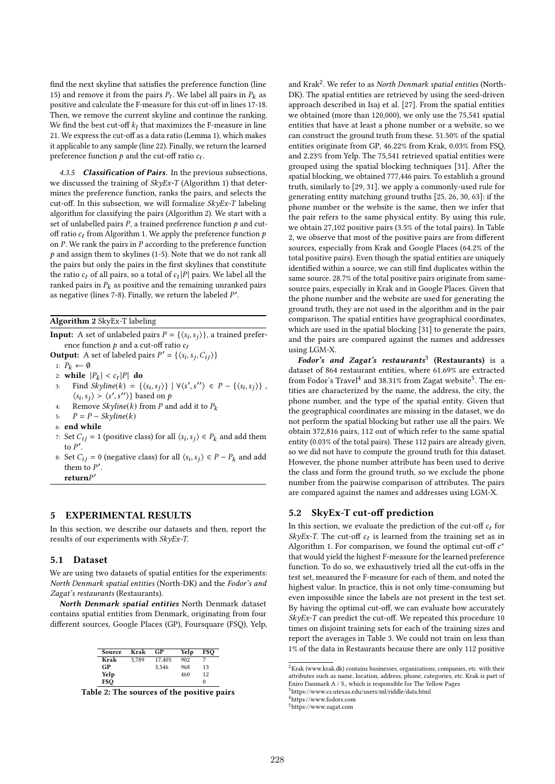find the next skyline that satisfies the preference function (line 15) and remove it from the pairs  $P_t$ . We label all pairs in  $P_k$  as positive and calculate the F-measure for this cut-off in lines 17-18. Then, we remove the current skyline and continue the ranking. We find the best cut-off  $k_l$  that maximizes the F-measure in line 21. We express the cut-off as a data ratio (Lemma 1), which makes it applicable to any sample (line 22). Finally, we return the learned preference function  $p$  and the cut-off ratio  $c_t$ .

4.3.5 Classification of Pairs. In the previous subsections, we discussed the training of  $SkyEx-T$  (Algorithm 1) that determines the preference function, ranks the pairs, and selects the cut-off. In this subsection, we will formalize  $SkyEx-T$  labeling algorithm for classifying the pairs (Algorithm 2). We start with a set of unlabelled pairs  $P$ , a trained preference function  $p$  and cutoff ratio  $c_t$  from Algorithm 1. We apply the preference function  $p$ on  $P$ . We rank the pairs in  $P$  according to the preference function  $p$  and assign them to skylines (1-5). Note that we do not rank all the pairs but only the pairs in the first skylines that constitute the ratio  $c_t$  of all pairs, so a total of  $c_t |P|$  pairs. We label all the ranked pairs in  $P_k$  as positive and the remaining unranked pairs as negative (lines 7-8). Finally, we return the labeled  $P'$ .

Algorithm 2 SkyEx-T labeling

**Input:** A set of unlabeled pairs  $P = \{\langle s_i, s_j \rangle\}$ , a trained preference function  $p$  and a cut-off ratio  $c_t$ 

**Output:** A set of labeled pairs 
$$
P' = \{\langle s_i, s_j, C_{ij} \rangle\}
$$

- 1:  $P_k \leftarrow \emptyset$
- 2: while  $|P_k| < c_t |P|$  do

3: Find  $Skpline(k) = \{\langle s_i, s_j \rangle\} \mid \forall \langle s', s'' \rangle \in P - \{\langle s_i, s_j \rangle\}$ ,  $\langle s_i, s_j \rangle \rangle \langle s', s'' \rangle$  based on p

- 4: Remove Skyline(k) from P and add it to  $P_k$
- 5:  $P = P Skvline(k)$
- 6: end while
- 7: Set  $C_{ij} = 1$  (positive class) for all  $\langle s_i, s_j \rangle \in P_k$  and add them to  $P'$ .
- 8: Set  $C_{ij} = 0$  (negative class) for all  $\langle s_i, s_j \rangle \in P P_k$  and add them to  $P'$ . return ′

## 5 EXPERIMENTAL RESULTS

In this section, we describe our datasets and then, report the results of our experiments with SkyEx-T.

#### 5.1 Dataset

We are using two datasets of spatial entities for the experiments: North Denmark spatial entities (North-DK) and the Fodor's and Zagat's restaurants (Restaurants).

North Denmark spatial entities North Denmark dataset contains spatial entities from Denmark, originating from four different sources, Google Places (GP), Foursquare (FSQ), Yelp,

| Source | Krak  | GP     | Yelp | FSO |
|--------|-------|--------|------|-----|
| Krak   | 3.789 | 17,405 | 902  |     |
| GP     |       | 3.546  | 968  | 13  |
| Yelp   |       |        | 460  | 12  |
| FSO    |       |        |      | 0   |

Table 2: The sources of the positive pairs

and Krak<sup>2</sup>. We refer to as North Denmark spatial entities (North-DK). The spatial entities are retrieved by using the seed-driven approach described in Isaj et al. [27]. From the spatial entities we obtained (more than 120,000), we only use the 75,541 spatial entities that have at least a phone number or a website, so we can construct the ground truth from these. 51.50% of the spatial entities originate from GP, 46.22% from Krak, 0.03% from FSQ, and 2.23% from Yelp. The 75,541 retrieved spatial entities were grouped using the spatial blocking techniques [31]. After the spatial blocking, we obtained 777,446 pairs. To establish a ground truth, similarly to [29, 31], we apply a commonly-used rule for generating entity matching ground truths [25, 26, 30, 63]: if the phone number or the website is the same, then we infer that the pair refers to the same physical entity. By using this rule, we obtain 27,102 positive pairs (3.5% of the total pairs). In Table 2, we observe that most of the positive pairs are from different sources, especially from Krak and Google Places (64.2% of the total positive pairs). Even though the spatial entities are uniquely identified within a source, we can still find duplicates within the same source. 28.7% of the total positive pairs originate from samesource pairs, especially in Krak and in Google Places. Given that the phone number and the website are used for generating the ground truth, they are not used in the algorithm and in the pair comparison. The spatial entities have geographical coordinates, which are used in the spatial blocking [31] to generate the pairs, and the pairs are compared against the names and addresses using LGM-X.

 $\overrightarrow{$ Fodor's} and Zagat's restaurants<sup>3</sup> (Restaurants) is a dataset of 864 restaurant entities, where 61.69% are extracted from Fodor's Travel<sup>4</sup> and 38.31% from Zagat website<sup>5</sup>. The entities are characterized by the name, the address, the city, the phone number, and the type of the spatial entity. Given that the geographical coordinates are missing in the dataset, we do not perform the spatial blocking but rather use all the pairs. We obtain 372,816 pairs, 112 out of which refer to the same spatial entity (0.03% of the total pairs). These 112 pairs are already given, so we did not have to compute the ground truth for this dataset. However, the phone number attribute has been used to derive the class and form the ground truth, so we exclude the phone number from the pairwise comparison of attributes. The pairs are compared against the names and addresses using LGM-X.

## 5.2 SkyEx-T cut-off prediction

In this section, we evaluate the prediction of the cut-off  $c_t$  for SkyEx-T. The cut-off  $c_t$  is learned from the training set as in Algorithm 1. For comparison, we found the optimal cut-off  $c^*$ that would yield the highest F-measure for the learned preference function. To do so, we exhaustively tried all the cut-offs in the test set, measured the F-measure for each of them, and noted the highest value. In practice, this is not only time-consuming but even impossible since the labels are not present in the test set. By having the optimal cut-off, we can evaluate how accurately  $SkyEx-T$  can predict the cut-off. We repeated this procedure 10 times on disjoint training sets for each of the training sizes and report the averages in Table 3. We could not train on less than 1% of the data in Restaurants because there are only 112 positive

 $\overline{P_{\rm Krak}}$  (www.krak.dk) contains businesses, organizations, companies, etc. with their attributes such as name, location, address, phone, categories, etc. Krak is part of Eniro Danmark A / S., which is responsible for The Yellow Pages

 $3$ https://www.cs.utexas.edu/users/ml/riddle/data.html

<sup>4</sup>https://www.fodors.com

<sup>5</sup>https://www.zagat.com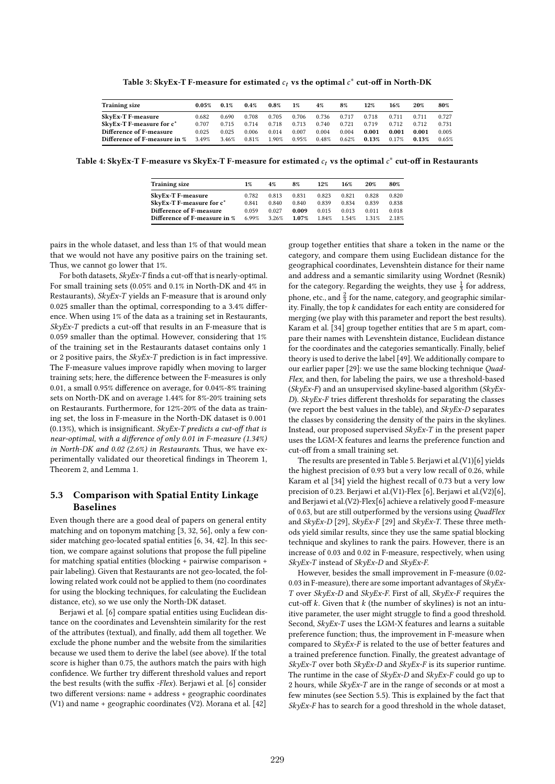Table 3: SkyEx-T F-measure for estimated  $c_t$  vs the optimal  $c^*$  cut-off in North-DK

| <b>Training size</b>                 | $0.05\%$ | 0.1%  | $0.4\%$  | $0.8\%$ | $1\%$ | 4%    | 8%    | 12%   | 16%   | 20%   | 80%   |
|--------------------------------------|----------|-------|----------|---------|-------|-------|-------|-------|-------|-------|-------|
| <b>SkyEx-T F-measure</b>             | 0.682    | 0.690 | 0.708    | 0.705   | 0.706 | 0.736 | 0.717 | 0.718 | 0.711 | 0.711 | 0.727 |
| SkyEx-T F-measure for c <sup>*</sup> | 0.707    | 0.715 | 0.714    | 0.718   | 0.713 | 0.740 | 0.721 | 0.719 | 0.712 | 0.712 | 0.731 |
| Difference of F-measure              | 0.025    | 0.025 | 0.006    | 0.014   | 0.007 | 0.004 | 0.004 | 0.001 | 0.001 | 0.001 | 0.005 |
| Difference of F-measure in %         | 3.49%    | 3.46% | $0.81\%$ | 1.90%   | 0.95% | 0.48% | 0.62% | 0.13% | 0.17% | 0.13% | 0.65% |

Table 4: SkyEx-T F-measure vs SkyEx-T F-measure for estimated  $c_t$  vs the optimal  $c^*$  cut-off in Restaurants

| <b>Training size</b>         | 1%    | 4%    | 8%    | 12%   | 16%   | 20%     | 80%   |
|------------------------------|-------|-------|-------|-------|-------|---------|-------|
| <b>SkyEx-T F-measure</b>     | 0.782 | 0.813 | 0.831 | 0.823 | 0.821 | 0.828   | 0.820 |
| SkyEx-T F-measure for c*     | 0.841 | 0.840 | 0.840 | 0.839 | 0.834 | 0.839   | 0.838 |
| Difference of F-measure      | 0.059 | 0.027 | 0.009 | 0.015 | 0.013 | 0.011   | 0.018 |
| Difference of F-measure in % | 6.99% | 3 26% | 1.07% | 184%  | 154%  | 1 3 1 % | 2.18% |

pairs in the whole dataset, and less than 1% of that would mean that we would not have any positive pairs on the training set. Thus, we cannot go lower that 1%.

For both datasets, SkyEx-T finds a cut-off that is nearly-optimal. For small training sets (0.05% and 0.1% in North-DK and 4% in Restaurants), SkyEx-T yields an F-measure that is around only 0.025 smaller than the optimal, corresponding to a 3.4% difference. When using 1% of the data as a training set in Restaurants,  $SkvEx-T$  predicts a cut-off that results in an F-measure that is 0.059 smaller than the optimal. However, considering that 1% of the training set in the Restaurants dataset contains only 1 or 2 positive pairs, the SkyEx-T prediction is in fact impressive. The F-measure values improve rapidly when moving to larger training sets; here, the difference between the F-measures is only 0.01, a small 0.95% difference on average, for 0.04%-8% training sets on North-DK and on average 1.44% for 8%-20% training sets on Restaurants. Furthermore, for 12%-20% of the data as training set, the loss in F-measure in the North-DK dataset is 0.001 (0.13%), which is insignificant. SkyEx-T predicts a cut-off that is near-optimal, with a difference of only 0.01 in F-measure (1.34%) in North-DK and 0.02 (2.6%) in Restaurants. Thus, we have experimentally validated our theoretical findings in Theorem 1, Theorem 2, and Lemma 1.

# 5.3 Comparison with Spatial Entity Linkage Baselines

Even though there are a good deal of papers on general entity matching and on toponym matching [3, 32, 56], only a few consider matching geo-located spatial entities [6, 34, 42]. In this section, we compare against solutions that propose the full pipeline for matching spatial entities (blocking + pairwise comparison + pair labeling). Given that Restaurants are not geo-located, the following related work could not be applied to them (no coordinates for using the blocking techniques, for calculating the Euclidean distance, etc), so we use only the North-DK dataset.

Berjawi et al. [6] compare spatial entities using Euclidean distance on the coordinates and Levenshtein similarity for the rest of the attributes (textual), and finally, add them all together. We exclude the phone number and the website from the similarities because we used them to derive the label (see above). If the total score is higher than 0.75, the authors match the pairs with high confidence. We further try different threshold values and report the best results (with the suffix -Flex). Berjawi et al. [6] consider two different versions: name + address + geographic coordinates (V1) and name + geographic coordinates (V2). Morana et al. [42]

group together entities that share a token in the name or the category, and compare them using Euclidean distance for the geographical coordinates, Levenshtein distance for their name and address and a semantic similarity using Wordnet (Resnik) for the category. Regarding the weights, they use  $\frac{1}{3}$  for address, phone, etc., and  $\frac{2}{3}$  for the name, category, and geographic similarity. Finally, the top  $k$  candidates for each entity are considered for merging (we play with this parameter and report the best results). Karam et al. [34] group together entities that are 5 m apart, compare their names with Levenshtein distance, Euclidean distance for the coordinates and the categories semantically. Finally, belief theory is used to derive the label [49]. We additionally compare to our earlier paper [29]: we use the same blocking technique Quad-Flex, and then, for labeling the pairs, we use a threshold-based  $(SkyEx-F)$  and an unsupervised skyline-based algorithm  $(SkyEx-F)$ D). SkyEx-F tries different thresholds for separating the classes (we report the best values in the table), and  $SkyEx-D$  separates the classes by considering the density of the pairs in the skylines. Instead, our proposed supervised SkyEx-T in the present paper uses the LGM-X features and learns the preference function and cut-off from a small training set.

The results are presented in Table 5. Berjawi et al.(V1)[6] yields the highest precision of 0.93 but a very low recall of 0.26, while Karam et al [34] yield the highest recall of 0.73 but a very low precision of 0.23. Berjawi et al.(V1)-Flex [6], Berjawi et al.(V2)[6], and Berjawi et al.(V2)-Flex[6] achieve a relatively good F-measure of 0.63, but are still outperformed by the versions using QuadFlex and  $SkyEx-D$  [29],  $SkyEx-F$  [29] and  $SkyEx-T$ . These three methods yield similar results, since they use the same spatial blocking technique and skylines to rank the pairs. However, there is an increase of 0.03 and 0.02 in F-measure, respectively, when using SkyEx-T instead of SkyEx-D and SkyEx-F.

However, besides the small improvement in F-measure (0.02- 0.03 in F-measure), there are some important advantages of  $SkyEx-$ T over  $SkyEx-D$  and  $SkyEx-F$ . First of all,  $SkyEx-F$  requires the cut-off  $k$ . Given that  $k$  (the number of skylines) is not an intuitive parameter, the user might struggle to find a good threshold. Second, SkyEx-T uses the LGM-X features and learns a suitable preference function; thus, the improvement in F-measure when compared to SkyEx-F is related to the use of better features and a trained preference function. Finally, the greatest advantage of  $SkyEx-T$  over both  $SkyEx-D$  and  $SkyEx-F$  is its superior runtime. The runtime in the case of SkyEx-D and SkyEx-F could go up to 2 hours, while  $SkyEx-T$  are in the range of seconds or at most a few minutes (see Section 5.5). This is explained by the fact that  $Sk\nu Ex-F$  has to search for a good threshold in the whole dataset,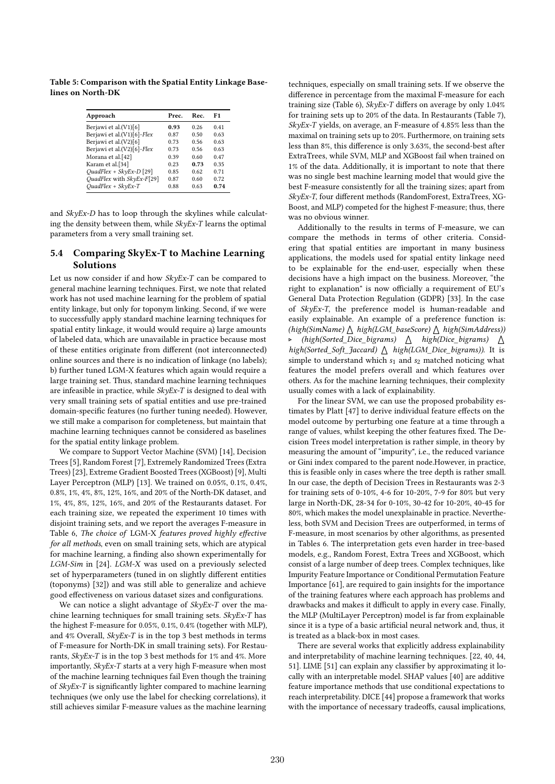Table 5: Comparison with the Spatial Entity Linkage Baselines on North-DK

| Approach                   | Prec. | Rec. | F1   |
|----------------------------|-------|------|------|
| Berjawi et al.(V1)[6]      | 0.93  | 0.26 | 041  |
| Berjawi et al.(V1)[6]-Flex | 0.87  | 0.50 | 0.63 |
| Berjawi et al.(V2)[6]      | 0.73  | 0.56 | 0.63 |
| Berjawi et al.(V2)[6]-Flex | 0.73  | 0.56 | 0.63 |
| Morana et al.[42]          | 0.39  | 0.60 | 0.47 |
| Karam et al.[34]           | 0.23  | 0.73 | 0.35 |
| $QuadFlex + SkvEx-D$ [29]  | 0.85  | 0.62 | 0.71 |
| QuadFlex with SkyEx-F[29]  | 0.87  | 0.60 | 0.72 |
| $QuadFlex + SkvEx-T$       | 0.88  | 0.63 | 0.74 |

and SkyEx-D has to loop through the skylines while calculating the density between them, while  $Sk\nu Ex-T$  learns the optimal parameters from a very small training set.

# 5.4 Comparing SkyEx-T to Machine Learning Solutions

Let us now consider if and how SkyEx-T can be compared to general machine learning techniques. First, we note that related work has not used machine learning for the problem of spatial entity linkage, but only for toponym linking. Second, if we were to successfully apply standard machine learning techniques for spatial entity linkage, it would would require a) large amounts of labeled data, which are unavailable in practice because most of these entities originate from different (not interconnected) online sources and there is no indication of linkage (no labels); b) further tuned LGM-X features which again would require a large training set. Thus, standard machine learning techniques are infeasible in practice, while SkyEx-T is designed to deal with very small training sets of spatial entities and use pre-trained domain-specific features (no further tuning needed). However, we still make a comparison for completeness, but maintain that machine learning techniques cannot be considered as baselines for the spatial entity linkage problem.

We compare to Support Vector Machine (SVM) [14], Decision Trees [5], Random Forest [7], Extremely Randomized Trees (Extra Trees) [23], Extreme Gradient Boosted Trees (XGBoost) [9], Multi Layer Perceptron (MLP) [13]. We trained on 0.05%, 0.1%, 0.4%, 0.8%, 1%, 4%, 8%, 12%, 16%, and 20% of the North-DK dataset, and 1%, 4%, 8%, 12%, 16%, and 20% of the Restaurants dataset. For each training size, we repeated the experiment 10 times with disjoint training sets, and we report the averages F-measure in Table 6, The choice of LGM-X features proved highly effective for all methods, even on small training sets, which are atypical for machine learning, a finding also shown experimentally for LGM-Sim in [24]. LGM-X was used on a previously selected set of hyperparameters (tuned in on slightly different entities (toponyms) [32]) and was still able to generalize and achieve good effectiveness on various dataset sizes and configurations.

We can notice a slight advantage of  $SkyEx-T$  over the machine learning techniques for small training sets. SkyEx-T has the highest F-measure for 0.05%, 0.1%, 0.4% (together with MLP), and 4% Overall,  $SkyEx-T$  is in the top 3 best methods in terms of F-measure for North-DK in small training sets). For Restaurants,  $Sk\nu Ex-T$  is in the top 3 best methods for 1% and 4%. More importantly, SkyEx-T starts at a very high F-measure when most of the machine learning techniques fail Even though the training of SkyEx-T is significantly lighter compared to machine learning techniques (we only use the label for checking correlations), it still achieves similar F-measure values as the machine learning

techniques, especially on small training sets. If we observe the difference in percentage from the maximal F-measure for each training size (Table 6), SkyEx-T differs on average by only 1.04% for training sets up to 20% of the data. In Restaurants (Table 7),  $SkyEx-T$  yields, on average, an F-measure of 4.85% less than the maximal on training sets up to 20%. Furthermore, on training sets less than 8%, this difference is only 3.63%, the second-best after ExtraTrees, while SVM, MLP and XGBoost fail when trained on 1% of the data. Additionally, it is important to note that there was no single best machine learning model that would give the best F-measure consistently for all the training sizes; apart from SkyEx-T, four different methods (RandomForest, ExtraTrees, XG-Boost, and MLP) competed for the highest F-measure; thus, there was no obvious winner.

Additionally to the results in terms of F-measure, we can compare the methods in terms of other criteria. Considering that spatial entities are important in many business applications, the models used for spatial entity linkage need to be explainable for the end-user, especially when these decisions have a high impact on the business. Moreover, "the right to explanation" is now officially a requirement of EU's General Data Protection Regulation (GDPR) [33]. In the case of SkyEx-T, the preference model is human-readable and easily explainable. An example of a preference function is: (high(SimName)  $\triangle$  high(LGM\_baseScore)  $\triangle$  high(SimAddress)) ⊲ (high(Sorted\_Dice\_bigrams) a high(Dice\_bigrams) a high(Sorted\_Soft\_Jaccard)  $\triangle$  high(LGM\_Dice\_bigrams)). It is simple to understand which  $s_1$  and  $s_2$  matched noticing what features the model prefers overall and which features over others. As for the machine learning techniques, their complexity usually comes with a lack of explainability.

For the linear SVM, we can use the proposed probability estimates by Platt [47] to derive individual feature effects on the model outcome by perturbing one feature at a time through a range of values, whilst keeping the other features fixed. The Decision Trees model interpretation is rather simple, in theory by measuring the amount of "impurity", i.e., the reduced variance or Gini index compared to the parent node.However, in practice, this is feasible only in cases where the tree depth is rather small. In our case, the depth of Decision Trees in Restaurants was 2-3 for training sets of 0-10%, 4-6 for 10-20%, 7-9 for 80% but very large in North-DK, 28-34 for 0-10%, 30-42 for 10-20%, 40-45 for 80%, which makes the model unexplainable in practice. Nevertheless, both SVM and Decision Trees are outperformed, in terms of F-measure, in most scenarios by other algorithms, as presented in Tables 6. The interpretation gets even harder in tree-based models, e.g., Random Forest, Extra Trees and XGBoost, which consist of a large number of deep trees. Complex techniques, like Impurity Feature Importance or Conditional Permutation Feature Importance [61], are required to gain insights for the importance of the training features where each approach has problems and drawbacks and makes it difficult to apply in every case. Finally, the MLP (MultiLayer Perceptron) model is far from explainable since it is a type of a basic artificial neural network and, thus, it is treated as a black-box in most cases.

There are several works that explicitly address explainability and interpretability of machine learning techniques. [22, 40, 44, 51]. LIME [51] can explain any classifier by approximating it locally with an interpretable model. SHAP values [40] are additive feature importance methods that use conditional expectations to reach interpretability. DICE [44] propose a framework that works with the importance of necessary tradeoffs, causal implications,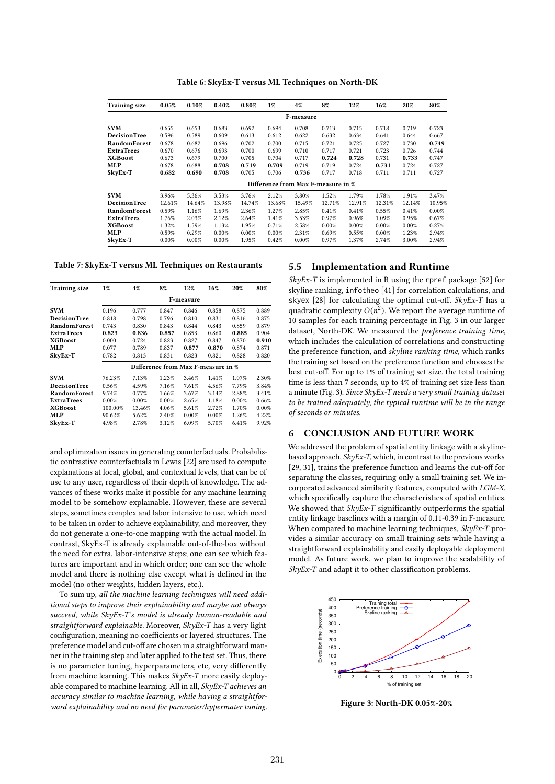Table 6: SkyEx-T versus ML Techniques on North-DK

| <b>Training size</b> | 0.05%     | 0.10%  | 0.40%  | 0.80%  | 1%                                 | $4\%$  | 8%     | 12%    | 16%    | 20%    | 80%    |  |
|----------------------|-----------|--------|--------|--------|------------------------------------|--------|--------|--------|--------|--------|--------|--|
|                      | F-measure |        |        |        |                                    |        |        |        |        |        |        |  |
| <b>SVM</b>           | 0.655     | 0.653  | 0.683  | 0.692  | 0.694                              | 0.708  | 0.713  | 0.715  | 0.718  | 0.719  | 0.723  |  |
| <b>DecisionTree</b>  | 0.596     | 0.589  | 0.609  | 0.613  | 0.612                              | 0.622  | 0.632  | 0.634  | 0.641  | 0.644  | 0.667  |  |
| RandomForest         | 0.678     | 0.682  | 0.696  | 0.702  | 0.700                              | 0.715  | 0.721  | 0.725  | 0.727  | 0.730  | 0.749  |  |
| <b>ExtraTrees</b>    | 0.670     | 0.676  | 0.693  | 0.700  | 0.699                              | 0.710  | 0.717  | 0.721  | 0.723  | 0.726  | 0.744  |  |
| <b>XGBoost</b>       | 0.673     | 0.679  | 0.700  | 0.705  | 0.704                              | 0.717  | 0.724  | 0.728  | 0.731  | 0.733  | 0.747  |  |
| MLP                  | 0.678     | 0.688  | 0.708  | 0.719  | 0.709                              | 0.719  | 0.719  | 0.724  | 0.731  | 0.724  | 0.727  |  |
| SkyEx-T              | 0.682     | 0.690  | 0.708  | 0.705  | 0.706                              | 0.736  | 0.717  | 0.718  | 0.711  | 0.711  | 0.727  |  |
|                      |           |        |        |        | Difference from Max F-measure in % |        |        |        |        |        |        |  |
| <b>SVM</b>           | 3.96%     | 5.36%  | 3.53%  | 3.76%  | 2.12%                              | 3.80%  | 1.52%  | 1.79%  | 1.78%  | 1.91%  | 3.47%  |  |
| <b>DecisionTree</b>  | 12.61%    | 14.64% | 13.98% | 14.74% | 13.68%                             | 15.49% | 12.71% | 12.91% | 12.31% | 12.14% | 10.95% |  |
| RandomForest         | 0.59%     | 1.16%  | 1.69%  | 2.36%  | 1.27%                              | 2.85%  | 0.41%  | 0.41%  | 0.55%  | 0.41%  | 0.00%  |  |
| <b>ExtraTrees</b>    | 1.76%     | 2.03%  | 2.12%  | 2.64%  | 1.41%                              | 3.53%  | 0.97%  | 0.96%  | 1.09%  | 0.95%  | 0.67%  |  |
| <b>XGBoost</b>       | 1.32%     | 1.59%  | 1.13%  | 1.95%  | 0.71%                              | 2.58%  | 0.00%  | 0.00%  | 0.00%  | 0.00%  | 0.27%  |  |
| MLP                  | 0.59%     | 0.29%  | 0.00%  | 0.00%  | 0.00%                              | 2.31%  | 0.69%  | 0.55%  | 0.00%  | 1.23%  | 2.94%  |  |
| SkyEx-T              | 0.00%     | 0.00%  | 0.00%  | 1.95%  | 0.42%                              | 0.00%  | 0.97%  | 1.37%  | 2.74%  | 3.00%  | 2.94%  |  |

Table 7: SkyEx-T versus ML Techniques on Restaurants

| <b>Training size</b> | $1\%$                              | 4%     | 8%    | 12%       | 16%   | 20%   | 80%   |  |  |  |
|----------------------|------------------------------------|--------|-------|-----------|-------|-------|-------|--|--|--|
|                      |                                    |        |       | F-measure |       |       |       |  |  |  |
| <b>SVM</b>           | 0.196                              | 0.777  | 0.847 | 0.846     | 0.858 | 0.875 | 0.889 |  |  |  |
| DecisionTree         | 0.818                              | 0.798  | 0.796 | 0.810     | 0.831 | 0.816 | 0.875 |  |  |  |
| RandomForest         | 0.743                              | 0.830  | 0.843 | 0.844     | 0.843 | 0.859 | 0.879 |  |  |  |
| ExtraTrees           | 0.823                              | 0.836  | 0.857 | 0.853     | 0.860 | 0.885 | 0.904 |  |  |  |
| <b>XGBoost</b>       | 0.000                              | 0.724  | 0.823 | 0.827     | 0.847 | 0.870 | 0.910 |  |  |  |
| MLP                  | 0.077                              | 0.789  | 0.837 | 0.877     | 0.870 | 0.874 | 0.871 |  |  |  |
| SkyEx-T              | 0.782                              | 0.813  | 0.831 | 0.823     | 0.821 | 0.828 | 0.820 |  |  |  |
|                      | Difference from Max F-measure in % |        |       |           |       |       |       |  |  |  |
| <b>SVM</b>           | 76.23%                             | 7.13%  | 1.23% | 3.46%     | 1.41% | 1.07% | 2.30% |  |  |  |
| DecisionTree         | 0.56%                              | 4.59%  | 7.16% | 7.61%     | 4.56% | 7.79% | 3.84% |  |  |  |
| <b>RandomForest</b>  | 9.74%                              | 0.77%  | 1.66% | 3.67%     | 3.14% | 2.88% | 3.41% |  |  |  |
| <b>ExtraTrees</b>    | 0.00%                              | 0.00%  | 0.00% | 2.65%     | 1.18% | 0.00% | 0.66% |  |  |  |
| <b>XGBoost</b>       | 100.00%                            | 13.46% | 4.06% | 5.61%     | 2.72% | 1.70% | 0.00% |  |  |  |
| MLP                  | 90.62%                             | 5.62%  | 2.40% | 0.00%     | 0.00% | 1.26% | 4.22% |  |  |  |
| SkyEx-T              | 4.98%                              | 2.78%  | 3.12% | 6.09%     | 5.70% | 6.41% | 9.92% |  |  |  |

and optimization issues in generating counterfactuals. Probabilistic contrastive counterfactuals in Lewis [22] are used to compute explanations at local, global, and contextual levels, that can be of use to any user, regardless of their depth of knowledge. The advances of these works make it possible for any machine learning model to be somehow explainable. However, these are several steps, sometimes complex and labor intensive to use, which need to be taken in order to achieve explainability, and moreover, they do not generate a one-to-one mapping with the actual model. In contrast, SkyEx-T is already explainable out-of-the-box without the need for extra, labor-intensive steps; one can see which features are important and in which order; one can see the whole model and there is nothing else except what is defined in the model (no other weights, hidden layers, etc.).

To sum up, all the machine learning techniques will need additional steps to improve their explainability and maybe not always succeed, while SkyEx-T's model is already human-readable and straightforward explainable. Moreover, SkyEx-T has a very light configuration, meaning no coefficients or layered structures. The preference model and cut-off are chosen in a straightforward manner in the training step and later applied to the test set. Thus, there is no parameter tuning, hyperparameters, etc, very differently from machine learning. This makes SkyEx-T more easily deployable compared to machine learning. All in all, SkyEx-T achieves an accuracy similar to machine learning, while having a straightforward explainability and no need for parameter/hypermater tuning.

## 5.5 Implementation and Runtime

 $SkyEx-T$  is implemented in R using the rpref package [52] for skyline ranking, infotheo [41] for correlation calculations, and skyex  $[28]$  for calculating the optimal cut-off. SkyEx-T has a quadratic complexity  $O(n^2)$ . We report the average runtime of 10 samples for each training percentage in Fig. 3 in our larger dataset, North-DK. We measured the preference training time, which includes the calculation of correlations and constructing the preference function, and skyline ranking time, which ranks the training set based on the preference function and chooses the best cut-off. For up to 1% of training set size, the total training time is less than 7 seconds, up to 4% of training set size less than a minute (Fig. 3). Since SkyEx-T needs a very small training dataset to be trained adequately, the typical runtime will be in the range of seconds or minutes.

# 6 CONCLUSION AND FUTURE WORK

We addressed the problem of spatial entity linkage with a skylinebased approach,  $SkyEx-T$ , which, in contrast to the previous works [29, 31], trains the preference function and learns the cut-off for separating the classes, requiring only a small training set. We incorporated advanced similarity features, computed with LGM-X, which specifically capture the characteristics of spatial entities. We showed that SkyEx-T significantly outperforms the spatial entity linkage baselines with a margin of 0.11-0.39 in F-measure. When compared to machine learning techniques, SkyEx-T provides a similar accuracy on small training sets while having a straightforward explainability and easily deployable deployment model. As future work, we plan to improve the scalability of  $SkyEx-T$  and adapt it to other classification problems.



Figure 3: North-DK 0.05%-20%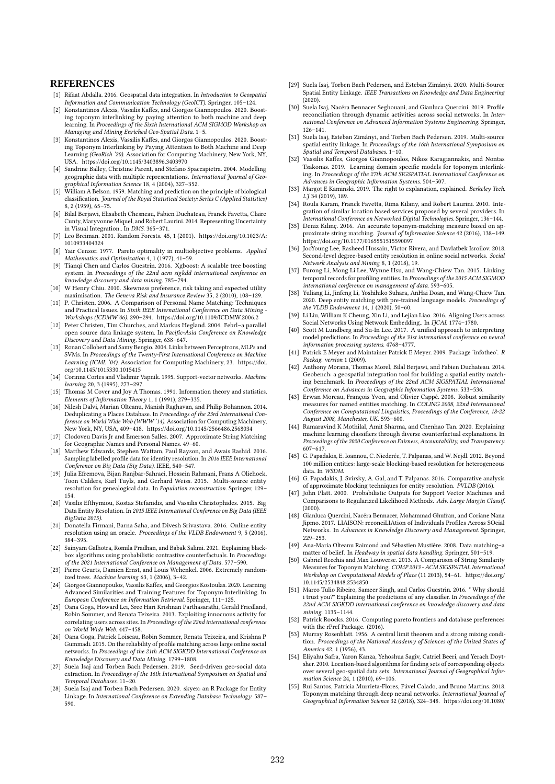#### **REFERENCES**

- [1] Rifaat Abdalla. 2016. Geospatial data integration. In Introduction to Geospatial Information and Communication Technology (GeoICT). Springer, 105–124.
- [2] Konstantinos Alexis, Vassilis Kaffes, and Giorgos Giannopoulos. 2020. Boosting toponym interlinking by paying attention to both machine and deep learning. In Proceedings of the Sixth International ACM SIGMOD Workshop on Managing and Mining Enriched Geo-Spatial Data. 1–5. [3] Konstantinos Alexis, Vassilis Kaffes, and Giorgos Giannopoulos. 2020. Boost-
- ing Toponym Interlinking by Paying Attention to Both Machine and Deep Learning (GeoRich '20). Association for Computing Machinery, New York, NY, USA. https://doi.org/10.1145/3403896.3403970
- [4] Sandrine Balley, Christine Parent, and Stefano Spaccapietra. 2004. Modelling geographic data with multiple representations. International Journal of Geographical Information Science 18, 4 (2004), 327–352. [5] William A Belson. 1959. Matching and prediction on the principle of biological
- classification. Journal of the Royal Statistical Society: Series C (Applied Statistics) 8, 2 (1959), 65–75.
- [6] Bilal Berjawi, Elisabeth Chesneau, Fabien Duchateau, Franck Favetta, Claire Cunty, Maryvonne Miquel, and Robert Laurini. 2014. Representing Uncertainty in Visual Integration.. In DMS. 365–371.
- [7] Leo Breiman. 2001. Random Forests. 45, 1 (2001). https://doi.org/10.1023/A: 1010933404324
- [8] Yair Censor. 1977. Pareto optimality in multiobjective problems. Applied Mathematics and Optimization 4, 1 (1977), 41–59.
- [9] Tianqi Chen and Carlos Guestrin. 2016. Xgboost: A scalable tree boosting system. In Proceedings of the 22nd acm sigkdd international conference on knowledge discovery and data mining. 785–794.
- [10] W Henry Chiu. 2010. Skewness preference, risk taking and expected utility maximisation. The Geneva Risk and Insurance Review 35, 2 (2010), 108–129.
- [11] P. Christen. 2006. A Comparison of Personal Name Matching: Techniques and Practical Issues. In Sixth IEEE International Conference on Data Mining Workshops (ICDMW'06). 290–294. https://doi.org/10.1109/ICDMW.2006.2
- [12] Peter Christen, Tim Churches, and Markus Hegland. 2004. Febrl–a parallel open source data linkage system. In Pacific-Asia Conference on Knowledge Discovery and Data Mining. Springer, 638–647.
- [13] Ronan Collobert and Samy Bengio. 2004. Links between Perceptrons, MLPs and SVMs. In Proceedings of the Twenty-First International Conference on Machine Learning (ICML '04). Association for Computing Machinery, 23. https://doi. org/10.1145/1015330.1015415
- [14] Corinna Cortes and Vladimir Vapnik. 1995. Support-vector networks. Machine learning 20, 3 (1995), 273–297.
- [15] Thomas M Cover and Joy A Thomas. 1991. Information theory and statistics. Elements of Information Theory 1, 1 (1991), 279–335.
- [16] Nilesh Dalvi, Marian Olteanu, Manish Raghavan, and Philip Bohannon. 2014. Deduplicating a Places Database. In Proceedings of the 23rd International Conference on World Wide Web (WWW '14). Association for Computing Machinery, New York, NY, USA, 409–418. https://doi.org/10.1145/2566486.2568034
- [17] Clodoveu Davis Jr and Emerson Salles. 2007. Approximate String Matching for Geographic Names and Personal Names. 49–60.
- [18] Matthew Edwards, Stephen Wattam, Paul Rayson, and Awais Rashid. 2016. Sampling labelled profile data for identity resolution. In 2016 IEEE International Conference on Big Data (Big Data). IEEE, 540–547.
- [19] Julia Efremova, Bijan Ranjbar-Sahraei, Hossein Rahmani, Frans A Oliehoek, Toon Calders, Karl Tuyls, and Gerhard Weiss. 2015. Multi-source entity resolution for genealogical data. In Population reconstruction. Springer, 129– 154.
- [20] Vasilis Efthymiou, Kostas Stefanidis, and Vassilis Christophides. 2015. Big Data Entity Resolution. In 2015 IEEE International Conference on Big Data (IEEE BigData 2015).
- [21] Donatella Firmani, Barna Saha, and Divesh Srivastava. 2016. Online entity resolution using an oracle. Proceedings of the VLDB Endowment 9, 5 (2016), 384–395.
- [22] Sainyam Galhotra, Romila Pradhan, and Babak Salimi. 2021. Explaining blackbox algorithms using probabilistic contrastive counterfactuals. In Proceedings of the 2021 International Conference on Management of Data. 577–590.
- [23] Pierre Geurts, Damien Ernst, and Louis Wehenkel. 2006. Extremely randomized trees. Machine learning 63, 1 (2006), 3–42.
- [24] Giorgos Giannopoulos, Vassilis Kaffes, and Georgios Kostoulas. 2020. Learning Advanced Similarities and Training Features for Toponym Interlinking. In European Conference on Information Retrieval. Springer, 111–125.
- [25] Oana Goga, Howard Lei, Sree Hari Krishnan Parthasarathi, Gerald Friedland, Robin Sommer, and Renata Teixeira. 2013. Exploiting innocuous activity for correlating users across sites. In Proceedings of the 22nd international conference on World Wide Web. 447–458.
- [26] Oana Goga, Patrick Loiseau, Robin Sommer, Renata Teixeira, and Krishna P Gummadi. 2015. On the reliability of profile matching across large online social networks. In Proceedings of the 21th ACM SIGKDD International Conference on Knowledge Discovery and Data Mining. 1799–1808.
- [27] Suela Isaj and Torben Bach Pedersen. 2019. Seed-driven geo-social data extraction. In Proceedings of the 16th International Symposium on Spatial and Temporal Databases. 11–20.
- [28] Suela Isaj and Torben Bach Pedersen. 2020. skyex: an R Package for Entity Linkage. In International Conference on Extending Database Technology. 587– 590.
- [29] Suela Isaj, Torben Bach Pedersen, and Esteban Zimányi. 2020. Multi-Source Spatial Entity Linkage. IEEE Transactions on Knowledge and Data Engineering  $(2020)$
- [30] Suela Isaj, Nacéra Bennacer Seghouani, and Gianluca Quercini. 2019. Profile reconciliation through dynamic activities across social networks. In International Conference on Advanced Information Systems Engineering. Springer, 126–141.
- [31] Suela Isaj, Esteban Zimányi, and Torben Bach Pedersen. 2019. Multi-source spatial entity linkage. In Proceedings of the 16th International Symposium on Spatial and Temporal Databases. 1–10.
- [32] Vassilis Kaffes, Giorgos Giannopoulos, Nikos Karagiannakis, and Nontas Tsakonas. 2019. Learning domain specific models for toponym interlinking. In Proceedings of the 27th ACM SIGSPATIAL International Conference on Advances in Geographic Information Systems. 504–507.
- [33] Margot E Kaminski. 2019. The right to explanation, explained. Berkeley Tech. L<sub>7</sub> 34 (2019), 189.
- [34] Roula Karam, Franck Favetta, Rima Kilany, and Robert Laurini. 2010. Integration of similar location based services proposed by several providers. In International Conference on Networked Digital Technologies. Springer, 136–144.
- [35] Deniz Kılınç. 2016. An accurate toponym-matching measure based on approximate string matching. *Journal of Information Science 42 (2*016), 138–149.<br>https://doi.org/10.1177/0165551515590097
- [36] JooYoung Lee, Rasheed Hussain, Victor Rivera, and Davlatbek Isroilov. 2018. Second-level degree-based entity resolution in online social networks. Social Network Analysis and Mining 8, 1 (2018), 19.
- [37] Furong Li, Mong Li Lee, Wynne Hsu, and Wang-Chiew Tan. 2015. Linking temporal records for profiling entities. In Proceedings of the 2015 ACM SIGMOD international conference on management of data. 593–605.
- [38] Yuliang Li, Jinfeng Li, Yoshihiko Suhara, AnHai Doan, and Wang-Chiew Tan. 2020. Deep entity matching with pre-trained language models. Proceedings of the VLDB Endowment 14, 1 (2020), 50–60.
- [39] Li Liu, William K Cheung, Xin Li, and Lejian Liao. 2016. Aligning Users across Social Networks Using Network Embedding.. In IJCAI. 1774–1780.
- [40] Scott M Lundberg and Su-In Lee. 2017. A unified approach to interpreting model predictions. In Proceedings of the 31st international conference on neural information processing systems. 4768–4777.
- [41] Patrick E Meyer and Maintainer Patrick E Meyer. 2009. Package 'infotheo'. R Packag. version 1 (2009).
- [42] Anthony Morana, Thomas Morel, Bilal Berjawi, and Fabien Duchateau. 2014. Geobench: a geospatial integration tool for building a spatial entity matching benchmark. In Proceedings of the 22nd ACM SIGSPATIAL International Conference on Advances in Geographic Information Systems. 533–536.
- [43] Erwan Moreau, François Yvon, and Olivier Cappé. 2008. Robust similarity measures for named entities matching. In COLING 2008, 22nd International Conference on Computational Linguistics, Proceedings of the Conference, 18-22 August 2008, Manchester, UK. 593–600.
- [44] Ramaravind K Mothilal, Amit Sharma, and Chenhao Tan. 2020. Explaining machine learning classifiers through diverse counterfactual explanations. In Proceedings of the 2020 Conference on Fairness, Accountability, and Transparency. 607–617.
- [45] G. Papadakis, E. Ioannou, C. Niederée, T. Palpanas, and W. Nejdl. 2012. Beyond 100 million entities: large-scale blocking-based resolution for heterogeneous data. In WSDM.
- [46] G. Papadakis, J. Svirsky, A. Gal, and T. Palpanas. 2016. Comparative analysis of approximate blocking techniques for entity resolution. PVLDB (2016).
- [47] John Platt. 2000. Probabilistic Outputs for Support Vector Machines and Comparisons to Regularized Likelihood Methods. Adv. Large Margin Classif.  $(2000)$
- [48] Gianluca Quercini, Nacéra Bennacer, Mohammad Ghufran, and Coriane Nana Jipmo. 2017. LIAISON: reconciLIAtion of Individuals Profiles Across SOcial Networks. In Advances in Knowledge Discovery and Management. Springer, 229–253.
- [49] Ana-Maria Olteanu Raimond and Sébastien Mustière. 2008. Data matching-a matter of belief. In Headway in spatial data handling. Springer, 501–519.
- [50] Gabriel Recchia and Max Louwerse. 2013. A Comparison of String Similarity Measures for Toponym Matching. COMP 2013 - ACM SIGSPATIAL International Workshop on Computational Models of Place (11 2013), 54–61. https://doi.org/ 10.1145/2534848.2534850
- [51] Marco Tulio Ribeiro, Sameer Singh, and Carlos Guestrin. 2016. " Why should i trust you?" Explaining the predictions of any classifier. In Proceedings of the 22nd ACM SIGKDD international conference on knowledge discovery and data mining. 1135–1144. [52] Patrick Roocks. 2016. Computing pareto frontiers and database preferences
- with the rPref Package. (2016).
- [53] Murray Rosenblatt. 1956. A central limit theorem and a strong mixing condition. Proceedings of the National Academy of Sciences of the United States of America 42, 1 (1956), 43.
- [54] Eliyahu Safra, Yaron Kanza, Yehoshua Sagiv, Catriel Beeri, and Yerach Doytsher. 2010. Location-based algorithms for finding sets of corresponding objects over several geo-spatial data sets. International Journal of Geographical Information Science 24, 1 (2010), 69–106.
- [55] Rui Santos, Patricia Murrieta-Flores, Pável Calado, and Bruno Martins. 2018. Toponym matching through deep neural networks. International Journal of Geographical Information Science 32 (2018), 324–348. https://doi.org/10.1080/